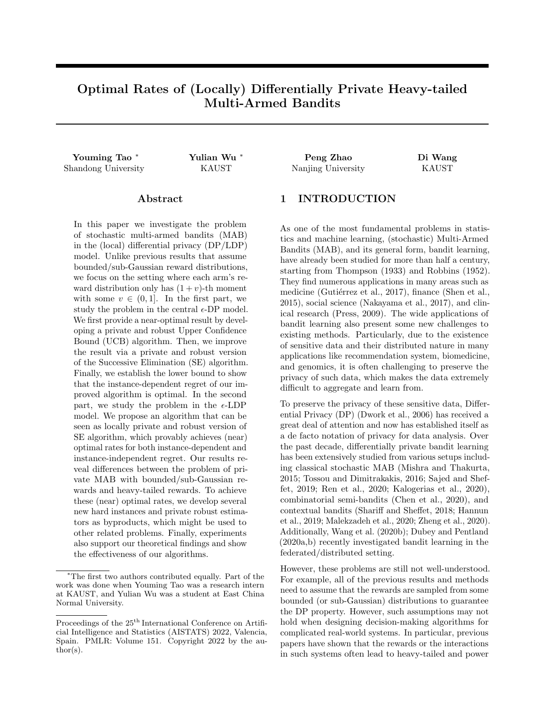# Optimal Rates of (Locally) Differentially Private Heavy-tailed Multi-Armed Bandits

#### Abstract

In this paper we investigate the problem of stochastic multi-armed bandits (MAB) in the (local) differential privacy (DP/LDP) model. Unlike previous results that assume bounded/sub-Gaussian reward distributions, we focus on the setting where each arm's reward distribution only has  $(1 + v)$ -th moment with some  $v \in (0,1]$ . In the first part, we study the problem in the central  $\epsilon$ -DP model. We first provide a near-optimal result by developing a private and robust Upper Confidence Bound (UCB) algorithm. Then, we improve the result via a private and robust version of the Successive Elimination (SE) algorithm. Finally, we establish the lower bound to show that the instance-dependent regret of our improved algorithm is optimal. In the second part, we study the problem in the  $\epsilon$ -LDP model. We propose an algorithm that can be seen as locally private and robust version of SE algorithm, which provably achieves (near) optimal rates for both instance-dependent and instance-independent regret. Our results reveal differences between the problem of private MAB with bounded/sub-Gaussian rewards and heavy-tailed rewards. To achieve these (near) optimal rates, we develop several new hard instances and private robust estimators as byproducts, which might be used to other related problems. Finally, experiments also support our theoretical findings and show the effectiveness of our algorithms.

Youming Tao <sup>∗</sup> Yulian Wu <sup>∗</sup> Peng Zhao Di Wang Shandong University **KAUST** Nanjing University **KAUST** 

## 1 INTRODUCTION

As one of the most fundamental problems in statistics and machine learning, (stochastic) Multi-Armed Bandits (MAB), and its general form, bandit learning, have already been studied for more than half a century, starting from [Thompson](#page-10-0) [\(1933\)](#page-10-0) and [Robbins](#page-10-1) [\(1952\)](#page-10-1). They find numerous applications in many areas such as medicine (Gutiérrez et al., [2017\)](#page-9-0), finance [\(Shen et al.,](#page-10-2) [2015\)](#page-10-2), social science [\(Nakayama et al.,](#page-10-3) [2017\)](#page-10-3), and clinical research [\(Press,](#page-10-4) [2009\)](#page-10-4). The wide applications of bandit learning also present some new challenges to existing methods. Particularly, due to the existence of sensitive data and their distributed nature in many applications like recommendation system, biomedicine, and genomics, it is often challenging to preserve the privacy of such data, which makes the data extremely difficult to aggregate and learn from.

To preserve the privacy of these sensitive data, Differential Privacy (DP) [\(Dwork et al.,](#page-9-1) [2006\)](#page-9-1) has received a great deal of attention and now has established itself as a de facto notation of privacy for data analysis. Over the past decade, differentially private bandit learning has been extensively studied from various setups including classical stochastic MAB [\(Mishra and Thakurta,](#page-10-5) [2015;](#page-10-5) [Tossou and Dimitrakakis,](#page-10-6) [2016;](#page-10-6) [Sajed and Shef](#page-10-7)[fet,](#page-10-7) [2019;](#page-10-7) [Ren et al.,](#page-10-8) [2020;](#page-10-8) [Kalogerias et al.,](#page-9-2) [2020\)](#page-9-2), combinatorial semi-bandits [\(Chen et al.,](#page-9-3) [2020\)](#page-9-3), and contextual bandits [\(Shariff and Sheffet,](#page-10-9) [2018;](#page-10-9) [Hannun](#page-9-4) [et al.,](#page-9-4) [2019;](#page-9-4) [Malekzadeh et al.,](#page-10-10) [2020;](#page-10-10) [Zheng et al.,](#page-11-0) [2020\)](#page-11-0). Additionally, [Wang et al.](#page-10-11) [\(2020b\)](#page-10-11); [Dubey and Pentland](#page-9-5) [\(2020a,](#page-9-5)[b\)](#page-9-6) recently investigated bandit learning in the federated/distributed setting.

However, these problems are still not well-understood. For example, all of the previous results and methods need to assume that the rewards are sampled from some bounded (or sub-Gaussian) distributions to guarantee the DP property. However, such assumptions may not hold when designing decision-making algorithms for complicated real-world systems. In particular, previous papers have shown that the rewards or the interactions in such systems often lead to heavy-tailed and power

<sup>∗</sup>The first two authors contributed equally. Part of the work was done when Youming Tao was a research intern at KAUST, and Yulian Wu was a student at East China Normal University.

Proceedings of the  $25^{\text{th}}$  International Conference on Artificial Intelligence and Statistics (AISTATS) 2022, Valencia, Spain. PMLR: Volume 151. Copyright 2022 by the au- $\text{thor}(s)$ .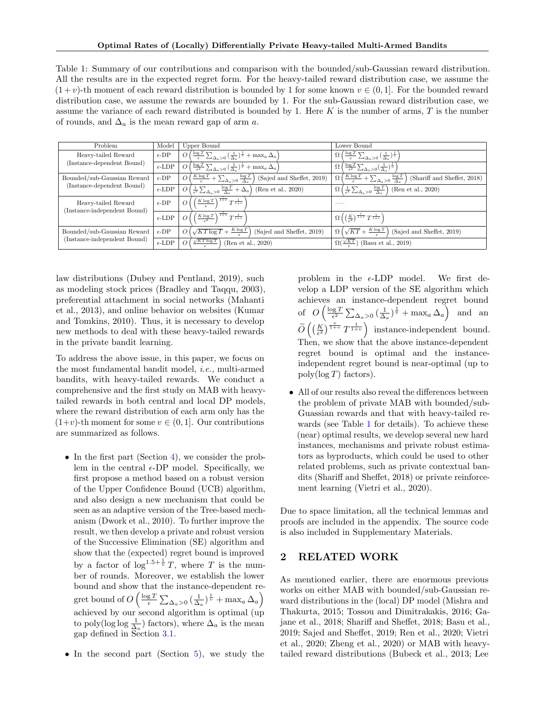<span id="page-1-0"></span>Table 1: Summary of our contributions and comparison with the bounded/sub-Gaussian reward distribution. All the results are in the expected regret form. For the heavy-tailed reward distribution case, we assume the  $(1 + v)$ -th moment of each reward distribution is bounded by 1 for some known  $v \in (0, 1]$ . For the bounded reward distribution case, we assume the rewards are bounded by 1. For the sub-Gaussian reward distribution case, we assume the variance of each reward distributed is bounded by 1. Here  $K$  is the number of arms,  $T$  is the number of rounds, and  $\Delta_a$  is the mean reward gap of arm a.

| Problem                                                     | Model           | Upper Bound                                                                                                                                  | Lower Bound                                                                                                                       |  |
|-------------------------------------------------------------|-----------------|----------------------------------------------------------------------------------------------------------------------------------------------|-----------------------------------------------------------------------------------------------------------------------------------|--|
| Heavy-tailed Reward<br>(Instance-dependent Bound)           | $\epsilon$ -DP  | $\left(\frac{\log T}{\epsilon} \sum_{\Delta_a > 0} \left(\frac{1}{\Delta_a}\right)^{\frac{1}{v}} + \max_a \Delta_a\right)$<br>$\overline{O}$ | $\frac{\log T}{\epsilon} \sum_{\Delta_a > 0} \left(\frac{1}{\Delta_a}\right)^{\frac{1}{v}}$                                       |  |
|                                                             | $\epsilon$ -LDP | $\frac{\log T}{\epsilon^2} \sum_{\Delta_a > 0} \left( \frac{1}{\Delta_a} \right)^{\frac{1}{v}} + \max_a \Delta_a$<br>$\overline{O}$          | $\frac{\log T}{\epsilon^2} \sum_{\Delta_a > 0} \left( \frac{1}{\Delta_a} \right)^{\frac{1}{v}}$<br>$\Omega$                       |  |
| Bounded/sub-Gaussian Reward<br>(Instance-dependent Bound)   | $\epsilon$ -DP  | $\left(\frac{K \log T}{\epsilon} + \sum_{\Delta_a > 0} \frac{\log T}{\Delta_a}\right)$<br> O <br>(Sajed and Sheffet, 2019)                   | $\left(\frac{K \log T}{\epsilon} + \sum_{\Delta_a > 0} \frac{\log T}{\Delta_a}\right)$<br>(Shariff and Sheffet, 2018)<br>$\Omega$ |  |
|                                                             | $\epsilon$ -LDP | $\left(\frac{1}{\epsilon^2} \sum_{\Delta_a > 0} \frac{\log T}{\Delta_a} + \Delta_a\right)$ (Ren et al., 2020)<br>$\overline{O}$              | $\left(\frac{1}{\epsilon^2} \sum_{\Delta_a > 0} \frac{\log T}{\Delta_a}\right)$<br>(Ren et al., 2020)<br>Ω                        |  |
| Heavy-tailed Reward<br>(Instance-independent Bound)         | $\epsilon$ -DP  | $\left(\frac{K\log T}{T^{\frac{v}{1+v}}}\right)^{\frac{v}{1+v}}$<br>$\overline{O}$                                                           |                                                                                                                                   |  |
|                                                             | $\epsilon$ -LDP | $\frac{K \log T}{\epsilon^2}$ <sup><math>\frac{v}{1+v}</math></sup> $\frac{1}{T^{1+v}}$<br>$\overline{O}$                                    | $\frac{1}{\Omega\left(\left(\frac{K}{\epsilon^2}\right)^{\frac{v}{1+v}}T^{\frac{1}{1+v}}\right)}$                                 |  |
| Bounded/sub-Gaussian Reward<br>(Instance-independent Bound) | $\epsilon$ -DP  | $\sqrt{KT\log T} + \frac{K\log T}{2}$<br>$\overline{O}$<br>(Sajed and Sheffet, 2019)                                                         | $\Omega\left(\sqrt{KT}+\frac{K\log T}{2}\right)$<br>(Sajed and Sheffet, 2019)                                                     |  |
|                                                             | $\epsilon$ -LDP | $\sqrt{KT}\log T$<br>$\overline{O}$<br>(Ren et al., 2020)                                                                                    | $\Omega(\frac{\sqrt{KT}}{2})$<br>(Basu et al., 2019)                                                                              |  |

law distributions [\(Dubey and Pentland,](#page-9-8) [2019\)](#page-9-8), such as modeling stock prices [\(Bradley and Taqqu,](#page-9-9) [2003\)](#page-9-9), preferential attachment in social networks [\(Mahanti](#page-10-12) [et al.,](#page-10-12) [2013\)](#page-10-12), and online behavior on websites [\(Kumar](#page-10-13) [and Tomkins,](#page-10-13) [2010\)](#page-10-13). Thus, it is necessary to develop new methods to deal with these heavy-tailed rewards in the private bandit learning.

To address the above issue, in this paper, we focus on the most fundamental bandit model, i.e., multi-armed bandits, with heavy-tailed rewards. We conduct a comprehensive and the first study on MAB with heavytailed rewards in both central and local DP models, where the reward distribution of each arm only has the  $(1+v)$ -th moment for some  $v \in (0,1]$ . Our contributions are summarized as follows.

- In the first part (Section [4\)](#page-3-0), we consider the problem in the central  $\epsilon$ -DP model. Specifically, we first propose a method based on a robust version of the Upper Confidence Bound (UCB) algorithm, and also design a new mechanism that could be seen as an adaptive version of the Tree-based mechanism [\(Dwork et al.,](#page-9-10) [2010\)](#page-9-10). To further improve the result, we then develop a private and robust version of the Successive Elimination (SE) algorithm and show that the (expected) regret bound is improved by a factor of  $\log^{1.5+\frac{1}{v}}T$ , where T is the number of rounds. Moreover, we establish the lower bound and show that the instance-dependent regret bound of  $O\left(\frac{\log T}{\epsilon} \sum_{\Delta_a>0} \left(\frac{1}{\Delta_a}\right)^{\frac{1}{v}} + \max_a \Delta_a\right)$ achieved by our second algorithm is optimal (up to poly(log log  $\frac{1}{\Delta_a}$ ) factors), where  $\Delta_a$  is the mean gap defined in Section [3.1.](#page-2-0)
- In the second part (Section [5\)](#page-6-0), we study the

problem in the  $\epsilon$ -LDP model. We first develop a LDP version of the SE algorithm which achieves an instance-dependent regret bound of  $O\left(\frac{\log T}{\epsilon^2} \sum_{\Delta_a>0} \left(\frac{1}{\Delta_a}\right)^{\frac{1}{v}} + \max_a \Delta_a\right)$  and an  $\widetilde{O}\left(\left(\frac{K}{\epsilon^2}\right)^{\frac{v}{1+v}}T^{\frac{1}{1+v}}\right)$  instance-independent bound. Then, we show that the above instance-dependent regret bound is optimal and the instanceindependent regret bound is near-optimal (up to  $poly(log T)$  factors).

• All of our results also reveal the differences between the problem of private MAB with bounded/sub-Guassian rewards and that with heavy-tailed rewards (see Table [1](#page-1-0) for details). To achieve these (near) optimal results, we develop several new hard instances, mechanisms and private robust estimators as byproducts, which could be used to other related problems, such as private contextual bandits [\(Shariff and Sheffet,](#page-10-9) [2018\)](#page-10-9) or private reinforcement learning [\(Vietri et al.,](#page-10-14) [2020\)](#page-10-14).

Due to space limitation, all the technical lemmas and proofs are included in the appendix. The source code is also included in Supplementary Materials.

## 2 RELATED WORK

As mentioned earlier, there are enormous previous works on either MAB with bounded/sub-Gaussian reward distributions in the (local) DP model [\(Mishra and](#page-10-5) [Thakurta,](#page-10-5) [2015;](#page-10-5) [Tossou and Dimitrakakis,](#page-10-6) [2016;](#page-10-6) [Ga](#page-9-11)[jane et al.,](#page-9-11) [2018;](#page-9-11) [Shariff and Sheffet,](#page-10-9) [2018;](#page-10-9) [Basu et al.,](#page-9-7) [2019;](#page-9-7) [Sajed and Sheffet,](#page-10-7) [2019;](#page-10-7) [Ren et al.,](#page-10-8) [2020;](#page-10-8) [Vietri](#page-10-14) [et al.,](#page-10-14) [2020;](#page-10-14) [Zheng et al.,](#page-11-0) [2020\)](#page-11-0) or MAB with heavy[tailed reward distributions](#page-10-15) [\(Bubeck et al.,](#page-9-12) [2013;](#page-9-12) [Lee](#page-10-15)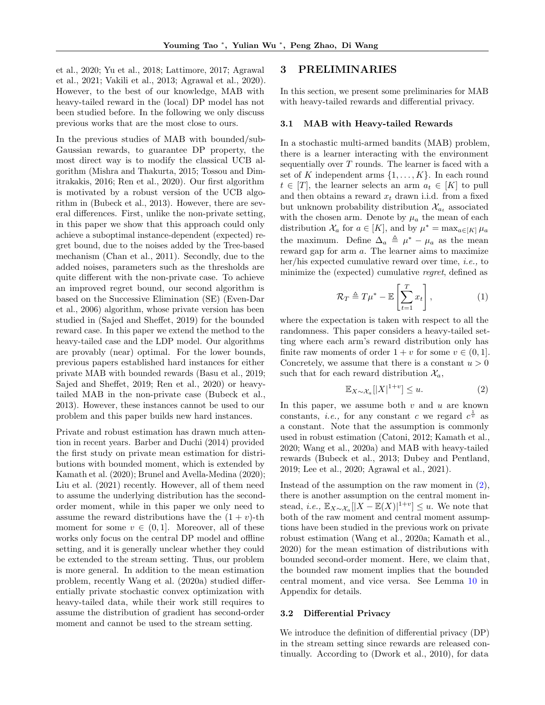[et al.,](#page-10-15) [2020;](#page-10-15) [Yu et al.,](#page-11-1) [2018;](#page-11-1) [Lattimore,](#page-10-16) [2017;](#page-10-16) [Agrawal](#page-9-13) [et al.,](#page-9-13) [2021;](#page-9-13) [Vakili et al.,](#page-10-17) [2013;](#page-10-17) [Agrawal et al.,](#page-9-14) [2020\)](#page-9-14). However, to the best of our knowledge, MAB with heavy-tailed reward in the (local) DP model has not been studied before. In the following we only discuss previous works that are the most close to ours.

In the previous studies of MAB with bounded/sub-Gaussian rewards, to guarantee DP property, the most direct way is to modify the classical UCB algorithm [\(Mishra and Thakurta,](#page-10-5) [2015;](#page-10-5) [Tossou and Dim](#page-10-6)[itrakakis,](#page-10-6) [2016;](#page-10-6) [Ren et al.,](#page-10-8) [2020\)](#page-10-8). Our first algorithm is motivated by a robust version of the UCB algorithm in [\(Bubeck et al.,](#page-9-12) [2013\)](#page-9-12). However, there are several differences. First, unlike the non-private setting, in this paper we show that this approach could only achieve a suboptimal instance-dependent (expected) regret bound, due to the noises added by the Tree-based mechanism [\(Chan et al.,](#page-9-15) [2011\)](#page-9-15). Secondly, due to the added noises, parameters such as the thresholds are quite different with the non-private case. To achieve an improved regret bound, our second algorithm is based on the Successive Elimination (SE) [\(Even-Dar](#page-9-16) [et al.,](#page-9-16) [2006\)](#page-9-16) algorithm, whose private version has been studied in [\(Sajed and Sheffet,](#page-10-7) [2019\)](#page-10-7) for the bounded reward case. In this paper we extend the method to the heavy-tailed case and the LDP model. Our algorithms are provably (near) optimal. For the lower bounds, previous papers established hard instances for either private MAB with bounded rewards [\(Basu et al.,](#page-9-7) [2019;](#page-9-7) [Sajed and Sheffet,](#page-10-7) [2019;](#page-10-7) [Ren et al.,](#page-10-8) [2020\)](#page-10-8) or heavytailed MAB in the non-private case [\(Bubeck et al.,](#page-9-12) [2013\)](#page-9-12). However, these instances cannot be used to our problem and this paper builds new hard instances.

Private and robust estimation has drawn much attention in recent years. [Barber and Duchi](#page-9-17) [\(2014\)](#page-9-17) provided the first study on private mean estimation for distributions with bounded moment, which is extended by [Kamath et al.](#page-10-18) [\(2020\)](#page-10-18); [Brunel and Avella-Medina](#page-9-18) [\(2020\)](#page-9-18); [Liu et al.](#page-10-19) [\(2021\)](#page-10-19) recently. However, all of them need to assume the underlying distribution has the secondorder moment, while in this paper we only need to assume the reward distributions have the  $(1 + v)$ -th moment for some  $v \in (0,1]$ . Moreover, all of these works only focus on the central DP model and offline setting, and it is generally unclear whether they could be extended to the stream setting. Thus, our problem is more general. In addition to the mean estimation problem, recently [Wang et al.](#page-10-20) [\(2020a\)](#page-10-20) studied differentially private stochastic convex optimization with heavy-tailed data, while their work still requires to assume the distribution of gradient has second-order moment and cannot be used to the stream setting.

### 3 PRELIMINARIES

In this section, we present some preliminaries for MAB with heavy-tailed rewards and differential privacy.

#### <span id="page-2-0"></span>3.1 MAB with Heavy-tailed Rewards

In a stochastic multi-armed bandits (MAB) problem, there is a learner interacting with the environment sequentially over  $T$  rounds. The learner is faced with a set of K independent arms  $\{1, \ldots, K\}$ . In each round  $t \in [T]$ , the learner selects an arm  $a_t \in [K]$  to pull and then obtains a reward  $x_t$  drawn i.i.d. from a fixed but unknown probability distribution  $\mathcal{X}_{a_t}$  associated with the chosen arm. Denote by  $\mu_a$  the mean of each distribution  $\mathcal{X}_a$  for  $a \in [K]$ , and by  $\mu^* = \max_{a \in [K]} \mu_a$ the maximum. Define  $\Delta_a \triangleq \mu^* - \mu_a$  as the mean reward gap for arm a. The learner aims to maximize her/his expected cumulative reward over time, i.e., to minimize the (expected) cumulative regret, defined as

$$
\mathcal{R}_T \triangleq T\mu^* - \mathbb{E}\left[\sum_{t=1}^T x_t\right],\tag{1}
$$

where the expectation is taken with respect to all the randomness. This paper considers a heavy-tailed setting where each arm's reward distribution only has finite raw moments of order  $1 + v$  for some  $v \in (0, 1]$ . Concretely, we assume that there is a constant  $u > 0$ such that for each reward distribution  $\mathcal{X}_a$ ,

<span id="page-2-1"></span>
$$
\mathbb{E}_{X \sim \mathcal{X}_a} [|X|^{1+v}] \le u. \tag{2}
$$

In this paper, we assume both  $v$  and  $u$  are known constants, *i.e.*, for any constant c we regard  $c^{\frac{1}{v}}$  as a constant. Note that the assumption is commonly used in robust estimation [\(Catoni,](#page-9-19) [2012;](#page-9-19) [Kamath et al.,](#page-10-18) [2020;](#page-10-18) [Wang et al.,](#page-10-20) [2020a\)](#page-10-20) and MAB with heavy-tailed rewards [\(Bubeck et al.,](#page-9-12) [2013;](#page-9-12) [Dubey and Pentland,](#page-9-8) [2019;](#page-9-8) [Lee et al.,](#page-10-15) [2020;](#page-10-15) [Agrawal et al.,](#page-9-13) [2021\)](#page-9-13).

Instead of the assumption on the raw moment in  $(2)$ , there is another assumption on the central moment instead, *i.e.*,  $\mathbb{E}_{X \sim \mathcal{X}_a}[|X - \mathbb{E}(X)|^{1+v}] \leq u$ . We note that both of the raw moment and central moment assumptions have been studied in the previous work on private robust estimation [\(Wang et al.,](#page-10-20) [2020a;](#page-10-20) [Kamath et al.,](#page-10-18) [2020\)](#page-10-18) for the mean estimation of distributions with bounded second-order moment. Here, we claim that, the bounded raw moment implies that the bounded central moment, and vice versa. See Lemma [10](#page-12-0) in Appendix for details.

#### 3.2 Differential Privacy

We introduce the definition of differential privacy (DP) in the stream setting since rewards are released continually. According to [\(Dwork et al.,](#page-9-10) [2010\)](#page-9-10), for data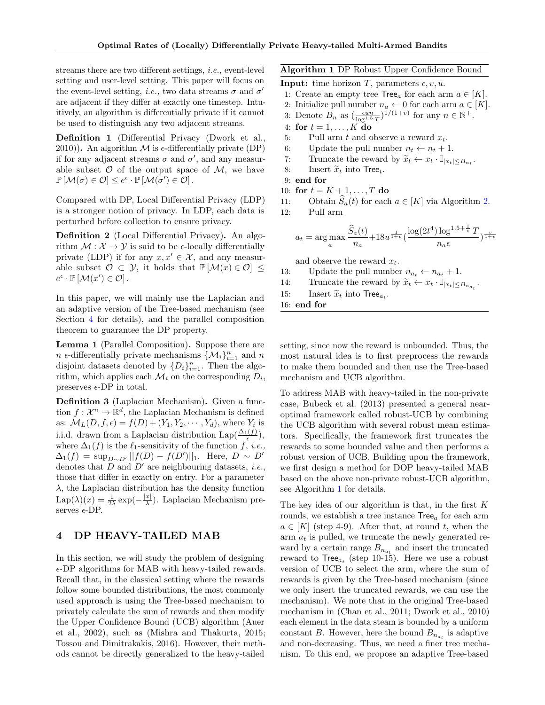streams there are two different settings, i.e., event-level setting and user-level setting. This paper will focus on the event-level setting, *i.e.*, two data streams  $\sigma$  and  $\sigma'$ are adjacent if they differ at exactly one timestep. Intuitively, an algorithm is differentially private if it cannot be used to distinguish any two adjacent streams.

Definition 1 (Differential Privacy [\(Dwork et al.,](#page-9-10) [2010\)](#page-9-10)). An algorithm  $\mathcal M$  is  $\epsilon$ -differentially private (DP) if for any adjacent streams  $\sigma$  and  $\sigma'$ , and any measurable subset  $\mathcal O$  of the output space of  $\mathcal M$ , we have  $\mathbb{P}[\mathcal{M}(\sigma) \in \mathcal{O}] \leq e^{\epsilon} \cdot \mathbb{P}[\mathcal{M}(\sigma') \in \mathcal{O}]$ .

Compared with DP, Local Differential Privacy (LDP) is a stronger notion of privacy. In LDP, each data is perturbed before collection to ensure privacy.

Definition 2 (Local Differential Privacy). An algorithm  $\mathcal{M} : \mathcal{X} \to \mathcal{Y}$  is said to be  $\epsilon$ -locally differentially private (LDP) if for any  $x, x' \in \mathcal{X}$ , and any measurable subset  $\mathcal{O} \subset \mathcal{Y}$ , it holds that  $\mathbb{P}[\mathcal{M}(x) \in \mathcal{O}] \leq$  $e^{\epsilon} \cdot \mathbb{P} [\mathcal{M}(x') \in \mathcal{O}]$ .

In this paper, we will mainly use the Laplacian and an adaptive version of the Tree-based mechanism (see Section [4](#page-3-0) for details), and the parallel composition theorem to guarantee the DP property.

Lemma 1 (Parallel Composition). Suppose there are  $n \in \text{differentially private mechanisms } \{\mathcal{M}_i\}_{i=1}^n \text{ and } n$ disjoint datasets denoted by  $\{D_i\}_{i=1}^n$ . Then the algorithm, which applies each  $\mathcal{M}_i$  on the corresponding  $D_i$ , preserves  $\epsilon$ -DP in total.

Definition 3 (Laplacian Mechanism). Given a function  $f: \mathcal{X}^n \to \mathbb{R}^d$ , the Laplacian Mechanism is defined as:  $\mathcal{M}_L(D, f, \epsilon) = f(D) + (Y_1, Y_2, \cdots, Y_d)$ , where  $Y_i$  is i.i.d. drawn from a Laplacian distribution  $\text{Lap}(\frac{\Delta_1(f)}{\epsilon}),$ where  $\Delta_1(f)$  is the  $\ell_1$ -sensitivity of the function f, i.e.,  $\Delta_1(f) = \sup_{D \sim D'} ||f(D) - f(D')||_1$ . Here,  $D \sim D'$ denotes that D and  $D'$  are neighbouring datasets, *i.e.*, those that differ in exactly on entry. For a parameter  $\lambda$ , the Laplacian distribution has the density function  $\mathrm{Lap}(\lambda)(x) = \frac{1}{2\lambda} \exp(-\frac{|x|}{\lambda})$  $\frac{x_1}{\lambda}$ ). Laplacian Mechanism preserves  $\epsilon$ -DP.

### <span id="page-3-0"></span>4 DP HEAVY-TAILED MAB

In this section, we will study the problem of designing  $\epsilon$ -DP algorithms for MAB with heavy-tailed rewards. Recall that, in the classical setting where the rewards follow some bounded distributions, the most commonly used approach is using the Tree-based mechanism to privately calculate the sum of rewards and then modify the Upper Confidence Bound (UCB) algorithm [\(Auer](#page-9-20) [et al.,](#page-9-20) [2002\)](#page-9-20), such as [\(Mishra and Thakurta,](#page-10-5) [2015;](#page-10-5) [Tossou and Dimitrakakis,](#page-10-6) [2016\)](#page-10-6). However, their methods cannot be directly generalized to the heavy-tailed

<span id="page-3-1"></span>Algorithm 1 DP Robust Upper Confidence Bound

- **Input:** time horizon T, parameters  $\epsilon$ , v, u.
- 1: Create an empty tree  $\text{Tree}_a$  for each arm  $a \in [K]$ .
- 2: Initialize pull number  $n_a \leftarrow 0$  for each arm  $a \in [K]$ .
- 3: Denote  $B_n$  as  $\left(\frac{\epsilon u n}{\log^{1.5} T}\right)^{1/(1+v)}$  for any  $n \in \mathbb{N}^+$ .
- 4: for  $t = 1, \ldots, K$  do
- 5: Pull arm  $t$  and observe a reward  $x_t$ .
- 6: Update the pull number  $n_t \leftarrow n_t + 1$ .
- 7: Truncate the reward by  $\widetilde{x}_t \leftarrow x_t \cdot \mathbb{I}_{|x_t| \leq B_{n_t}}$ .<br>
Set also linearly  $\widetilde{x}_t$  into Linearly
- 8: Insert  $\widetilde{x}_t$  into Tree<sub>t</sub>.
- 9: end for
- 10: for  $t = K + 1, ..., T$  do
- 11: Obtain  $\widehat{S}_a(t)$  for each  $a \in [K]$  via Algorithm [2.](#page-4-0)<br>12: Pull arm

Pull arm

$$
a_t = \arg\max_{a} \frac{\hat{S}_a(t)}{n_a} + 18u^{\frac{1}{1+v}} \left(\frac{\log(2t^4) \log^{1.5 + \frac{1}{v}} T}{n_a \epsilon}\right)^{\frac{v}{1+v}}
$$

and observe the reward  $x_t$ .

- 13: Update the pull number  $n_{a_t} \leftarrow n_{a_t} + 1$ .
- 14: Truncate the reward by  $\widetilde{x}_t \leftarrow x_t \cdot \mathbb{I}_{|x_t| \leq B_{n_{a_t}}}$ .
- 15: Insert  $\widetilde{x}_t$  into Tree $a_t$ .<br>16: **ond for**

16: end for

setting, since now the reward is unbounded. Thus, the most natural idea is to first preprocess the rewards to make them bounded and then use the Tree-based mechanism and UCB algorithm.

To address MAB with heavy-tailed in the non-private case, [Bubeck et al.](#page-9-12) [\(2013\)](#page-9-12) presented a general nearoptimal framework called robust-UCB by combining the UCB algorithm with several robust mean estimators. Specifically, the framework first truncates the rewards to some bounded value and then performs a robust version of UCB. Building upon the framework, we first design a method for DOP heavy-tailed MAB based on the above non-private robust-UCB algorithm, see Algorithm [1](#page-3-1) for details.

The key idea of our algorithm is that, in the first  $K$ rounds, we establish a tree instance  $\text{Tree}_a$  for each arm  $a \in [K]$  (step 4-9). After that, at round t, when the arm  $a_t$  is pulled, we truncate the newly generated reward by a certain range  $B_{n_{a_t}}$  and insert the truncated reward to  $\text{Tree}_{a_t}$  (step 10-15). Here we use a robust version of UCB to select the arm, where the sum of rewards is given by the Tree-based mechanism (since we only insert the truncated rewards, we can use the mechanism). We note that in the original Tree-based mechanism in [\(Chan et al.,](#page-9-15) [2011;](#page-9-15) [Dwork et al.,](#page-9-10) [2010\)](#page-9-10) each element in the data steam is bounded by a uniform constant B. However, here the bound  $B_{n_{a_t}}$  is adaptive and non-decreasing. Thus, we need a finer tree mechanism. To this end, we propose an adaptive Tree-based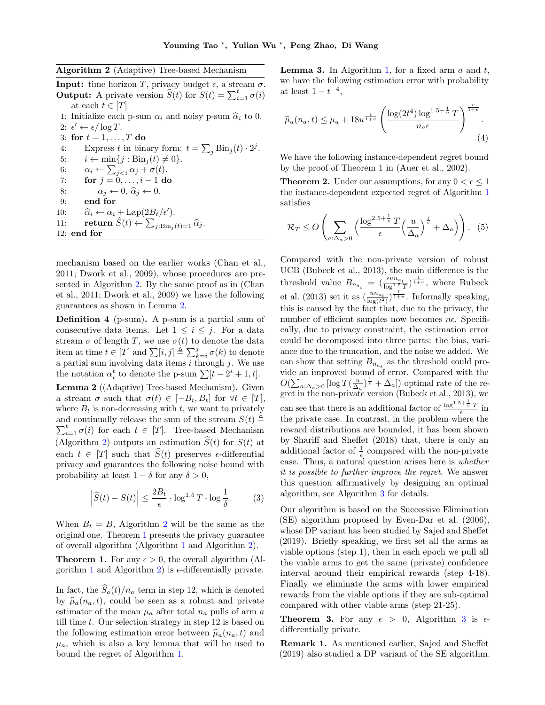<span id="page-4-0"></span>Algorithm 2 (Adaptive) Tree-based Mechanism

**Input:** time horizon T, privacy budget  $\epsilon$ , a stream  $\sigma$ . **Output:** A private version  $\widehat{S}(t)$  for  $S(t) = \sum_{i=1}^{t} \sigma(i)$ at each  $t \in [T]$ 1: Initialize each p-sum  $\alpha_i$  and noisy p-sum  $\hat{\alpha}_i$  to 0. 2:  $\epsilon' \leftarrow \epsilon / \log T$ . 3: for  $t = 1, \ldots, T$  do 4: Express t in binary form:  $t = \sum_j \text{Bin}_j(t) \cdot 2^j$ . 5:  $i \leftarrow \min\{j : \text{Bin}_j(t) \neq 0\}.$ 6:  $\alpha_i \leftarrow \sum_{j.$ 7: **for**  $j = 0, ..., i - 1$  do 8:  $\alpha_j \leftarrow 0, \hat{\alpha}_j \leftarrow 0.$ <br>9: **end for** end for 10:  $\hat{\alpha}_i \leftarrow \alpha_i + \text{Lap}(2B_t/\epsilon').$ <br>
11. return  $\hat{S}(t) \leftarrow \nabla$ 11: return  $\hat{S}(t) \leftarrow \sum_{j:\text{Bin}_j(t)=1} \hat{\alpha}_j.$ 12: end for

mechanism based on the earlier works [\(Chan et al.,](#page-9-15) [2011;](#page-9-15) [Dwork et al.,](#page-9-21) [2009\)](#page-9-21), whose procedures are presented in Algorithm [2.](#page-4-0) By the same proof as in [\(Chan](#page-9-15) [et al.,](#page-9-15) [2011;](#page-9-15) [Dwork et al.,](#page-9-21) [2009\)](#page-9-21) we have the following guarantees as shown in Lemma [2.](#page-4-1)

Definition 4 (p-sum). A p-sum is a partial sum of consecutive data items. Let  $1 \leq i \leq j$ . For a data stream  $\sigma$  of length T, we use  $\sigma(t)$  to denote the data item at time  $t \in [T]$  and  $\sum [i, j] \triangleq \sum_{k=i}^{j} \sigma(k)$  to denote a partial sum involving data items  $i$  through  $j$ . We use the notation  $\alpha_i^t$  to denote the p-sum  $\sum [t - 2^i + 1, t]$ .

<span id="page-4-1"></span>Lemma 2 ((Adaptive) Tree-based Mechanism). Given a stream  $\sigma$  such that  $\sigma(t) \in [-B_t, B_t]$  for  $\forall t \in [T],$ where  $B_t$  is non-decreasing with t, we want to privately and continually release the sum of the stream  $S(t) \triangleq$  $\sum_{i=1}^{t} \sigma(i)$  for each  $t \in [T]$ . Tree-based Mechanism (Algorithm [2\)](#page-4-0) outputs an estimation  $\hat{S}(t)$  for  $S(t)$  at each  $t \in [T]$  such that  $\widehat{S}(t)$  preserves  $\epsilon$ -differential privacy and guarantees the following noise bound with probability at least  $1 - \delta$  for any  $\delta > 0$ ,

$$
\left|\widehat{S}(t) - S(t)\right| \le \frac{2B_t}{\epsilon} \cdot \log^{1.5} T \cdot \log \frac{1}{\delta}.\tag{3}
$$

When  $B_t = B$ , Algorithm [2](#page-4-0) will be the same as the original one. Theorem [1](#page-4-2) presents the privacy guarantee of overall algorithm (Algorithm [1](#page-3-1) and Algorithm [2\)](#page-4-0).

<span id="page-4-2"></span>**Theorem 1.** For any  $\epsilon > 0$ , the overall algorithm (Al-gorithm [1](#page-3-1) and Algorithm [2\)](#page-4-0) is  $\epsilon$ -differentially private.

In fact, the  $\hat{S}_a(t)/n_a$  term in step 12, which is denoted by  $\hat{\mu}_a(n_a, t)$ , could be seen as a robust and private estimator of the mean  $\mu_a$  after total  $n_a$  pulls of arm a till time  $t$ . Our selection strategy in step 12 is based on the following estimation error between  $\hat{\mu}_a(n_a, t)$  and  $\mu_a$ , which is also a key lemma that will be used to bound the regret of Algorithm [1.](#page-3-1)

<span id="page-4-4"></span>**Lemma 3.** In Algorithm [1,](#page-3-1) for a fixed arm  $a$  and  $t$ , we have the following estimation error with probability at least  $1-t^{-4}$ ,

$$
\widehat{\mu}_a(n_a, t) \le \mu_a + 18u^{\frac{1}{1+v}} \left( \frac{\log(2t^4) \log^{1.5 + \frac{1}{v}} T}{n_a \epsilon} \right)^{\frac{v}{1+v}}.
$$
\n(4)

We have the following instance-dependent regret bound by the proof of Theorem 1 in [\(Auer et al.,](#page-9-20) [2002\)](#page-9-20).

<span id="page-4-3"></span>**Theorem 2.** Under our assumptions, for any  $0 < \epsilon \leq 1$ the instance-dependent expected regret of Algorithm [1](#page-3-1) satisfies

$$
\mathcal{R}_T \le O\left(\sum_{a:\Delta_a>0} \left(\frac{\log^{2.5+\frac{1}{v}} T}{\epsilon} \left(\frac{u}{\Delta_a}\right)^{\frac{1}{v}} + \Delta_a\right)\right). \tag{5}
$$

Compared with the non-private version of robust UCB [\(Bubeck et al.,](#page-9-12) [2013\)](#page-9-12), the main difference is the threshold value  $B_{n_{a_t}} = \left(\frac{\epsilon u n_{a_t}}{\log^{1.5} T}\right)^{\frac{1}{1+v}},$  where [Bubeck](#page-9-12) [et al.](#page-9-12) [\(2013\)](#page-9-12) set it as  $\left(\frac{un_{a_t}}{\log(t^2)}\right)^{\frac{1}{1+v}}$ . Informally speaking, this is caused by the fact that, due to the privacy, the number of efficient samples now becomes  $n\epsilon$ . Specifically, due to privacy constraint, the estimation error could be decomposed into three parts: the bias, variance due to the truncation, and the noise we added. We can show that setting  $B_{n_{a_t}}$  as the threshold could provide an improved bound of error. Compared with the  $O(\sum_{a:\Delta_a>0}[\log T(\frac{u}{\Delta_a})^{\frac{1}{v}} + \Delta_a])$  optimal rate of the regret in the non-private version [\(Bubeck et al.,](#page-9-12) [2013\)](#page-9-12), we can see that there is an additional factor of  $\frac{\log^{1.5+\frac{1}{v}}T}{\epsilon}$  in the private case. In contrast, in the problem where the reward distributions are bounded, it has been shown by [Shariff and Sheffet](#page-10-9) [\(2018\)](#page-10-9) that, there is only an additional factor of  $\frac{1}{\epsilon}$  compared with the non-private case. Thus, a natural question arises here is whether it is possible to further improve the regret. We answer this question affirmatively by designing an optimal algorithm, see Algorithm [3](#page-5-0) for details.

Our algorithm is based on the Successive Elimination (SE) algorithm proposed by [Even-Dar et al.](#page-9-16) [\(2006\)](#page-9-16), whose DP variant has been studied by [Sajed and Sheffet](#page-10-7) [\(2019\)](#page-10-7). Briefly speaking, we first set all the arms as viable options (step 1), then in each epoch we pull all the viable arms to get the same (private) confidence interval around their empirical rewards (step 4-18). Finally we eliminate the arms with lower empirical rewards from the viable options if they are sub-optimal compared with other viable arms (step 21-25).

<span id="page-4-5"></span>**Theorem [3](#page-5-0).** For any  $\epsilon > 0$ , Algorithm 3 is  $\epsilon$ differentially private.

Remark 1. As mentioned earlier, [Sajed and Sheffet](#page-10-7) [\(2019\)](#page-10-7) also studied a DP variant of the SE algorithm.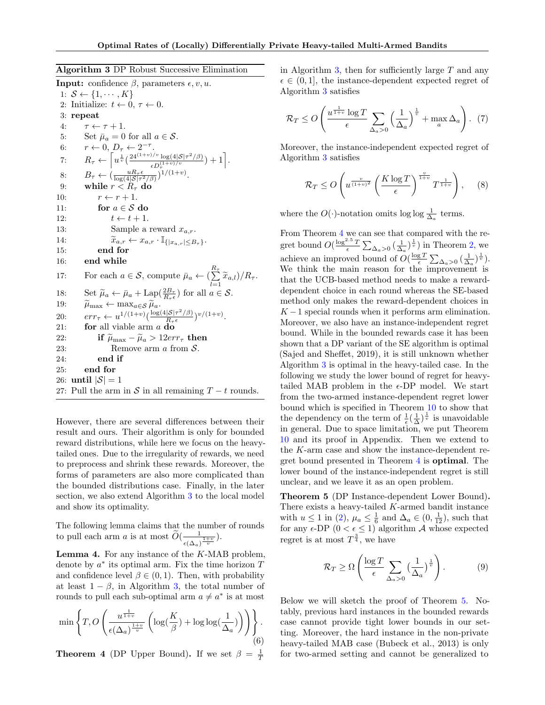<span id="page-5-0"></span>

| Algorithm 3 DP Robust Successive Elimination |  |  |  |
|----------------------------------------------|--|--|--|
|----------------------------------------------|--|--|--|

**Input:** confidence  $\beta$ , parameters  $\epsilon$ , v, u. 1:  $S \leftarrow \{1, \cdots, K\}$ 2: Initialize:  $t \leftarrow 0, \tau \leftarrow 0$ . 3: repeat 4:  $\tau \leftarrow \tau + 1$ . 5: Set  $\bar{\mu}_a = 0$  for all  $a \in \mathcal{S}$ . 6:  $r \leftarrow 0, D_\tau \leftarrow 2^{-\tau}.$ 7:  $R_{\tau} \leftarrow \left[ u^{\frac{1}{v}} \left( \frac{24^{(1+v)/v} \log(4|\mathcal{S}|\tau^2/\beta)}{D^{(1+v)/v}} \right) \right]$  $\frac{D}{\epsilon D_{\tau}^{(1+v)/v}}$  + 1. 8:  $B_{\tau} \leftarrow \left(\frac{uR_{\tau}\epsilon}{\log(4|\mathcal{S}|\tau^2/\beta)}\right)^{1/(1+v)}.$ 9: while  $r < R_{\tau}$  do 10:  $r \leftarrow r + 1$ . 11: for  $a \in S$  do 12:  $t \leftarrow t + 1.$ 13: Sample a reward  $x_{a,r}$ . 14:  $\widetilde{x}_{a,r} \leftarrow x_{a,r} \cdot \mathbb{I}_{\{|x_{a,r}| \leq B_{\tau}\}}.$ <br>15: **end for** end for 16: end while 17: For each  $a \in \mathcal{S}$ , compute  $\bar{\mu}_a \leftarrow (\sum^{R_{\tau}})$  $\sum_{l=1} \widetilde{x}_{a,l})/R_{\tau}.$ 18: Set  $\widetilde{\mu}_a \leftarrow \overline{\mu}_a + \text{Lap}(\frac{2B_{\tau}}{R_{\tau}\epsilon})$  for all  $a \in \mathcal{S}$ . 19:  $\widetilde{\mu}_{\text{max}} \leftarrow \max_{a \in \mathcal{S}} \widetilde{\mu}_a.$ <br>
20:  $err_{\tau} \leftarrow u^{1/(1+v)} \left( \frac{\log(4|\mathcal{S}|\tau^2/\beta)}{R_{\tau} \epsilon} \right)$  $\frac{|S|\tau^2/\beta)}{R_{\tau}\epsilon}$  $v/(1+v)$ . 21: **for** all viable arm  $a$  **do** 22: **if**  $\widetilde{\mu}_{\text{max}} - \widetilde{\mu}_a > 12err_{\tau}$  **then**<br>23: Remove arm *a* from *S*. Remove arm  $\alpha$  from  $\mathcal{S}$ . 24: end if 25: end for 26: until  $|\mathcal{S}| = 1$ 27: Pull the arm in S in all remaining  $T - t$  rounds.

However, there are several differences between their result and ours. Their algorithm is only for bounded reward distributions, while here we focus on the heavytailed ones. Due to the irregularity of rewards, we need to preprocess and shrink these rewards. Moreover, the forms of parameters are also more complicated than the bounded distributions case. Finally, in the later section, we also extend Algorithm [3](#page-5-0) to the local model and show its optimality.

The following lemma claims that the number of rounds to pull each arm a is at most  $\widetilde{O}(\frac{1}{\epsilon(\Delta_{\alpha})})$  $\frac{1}{\epsilon(\Delta_a)^{\frac{1+v}{v}}}).$ 

<span id="page-5-3"></span>**Lemma 4.** For any instance of the  $K$ -MAB problem, denote by  $a^*$  its optimal arm. Fix the time horizon  $T$ and confidence level  $\beta \in (0,1)$ . Then, with probability at least  $1 - \beta$ , in Algorithm [3,](#page-5-0) the total number of rounds to pull each sub-optimal arm  $a \neq a^*$  is at most

$$
\min\left\{T, O\left(\frac{u^{\frac{1}{1+v}}}{\epsilon(\Delta_a)^{\frac{1+v}{v}}}\left(\log(\frac{K}{\beta}) + \log\log(\frac{1}{\Delta_a})\right)\right)\right\}.
$$
(6)

<span id="page-5-1"></span>**Theorem 4** (DP Upper Bound). If we set  $\beta = \frac{1}{T}$ 

in Algorithm [3,](#page-5-0) then for sufficiently large  $T$  and any  $\epsilon \in (0, 1]$ , the instance-dependent expected regret of Algorithm [3](#page-5-0) satisfies

$$
\mathcal{R}_T \le O\left(\frac{u^{\frac{1}{1+v}}\log T}{\epsilon} \sum_{\Delta_a > 0} \left(\frac{1}{\Delta_a}\right)^{\frac{1}{v}} + \max_a \Delta_a\right). (7)
$$

Moreover, the instance-independent expected regret of Algorithm [3](#page-5-0) satisfies

$$
\mathcal{R}_T \le O\left(u^{\frac{v}{(1+v)^2}} \left(\frac{K\log T}{\epsilon}\right)^{\frac{v}{1+v}} T^{\frac{1}{1+v}}\right), \quad (8)
$$

where the  $O(\cdot)$ -notation omits log log  $\frac{1}{\Delta_a}$  terms.

From Theorem [4](#page-5-1) we can see that compared with the regret bound  $O(\frac{\log^{2.5}T}{\epsilon} \sum_{\Delta_a>0} (\frac{1}{\Delta_a})^{\frac{1}{v}})$  in Theorem [2,](#page-4-3) we achieve an improved bound of  $O(\frac{\log T}{\epsilon} \sum_{\Delta_a>0} (\frac{1}{\Delta_a})^{\frac{1}{v}})$ . We think the main reason for the improvement is that the UCB-based method needs to make a rewarddependent choice in each round whereas the SE-based method only makes the reward-dependent choices in  $K-1$  special rounds when it performs arm elimination. Moreover, we also have an instance-independent regret bound. While in the bounded rewards case it has been shown that a DP variant of the SE algorithm is optimal [\(Sajed and Sheffet,](#page-10-7) [2019\)](#page-10-7), it is still unknown whether Algorithm [3](#page-5-0) is optimal in the heavy-tailed case. In the following we study the lower bound of regret for heavytailed MAB problem in the  $\epsilon$ -DP model. We start from the two-armed instance-dependent regret lower bound which is specified in Theorem [10](#page-19-0) to show that the dependency on the term of  $\frac{1}{\epsilon}(\frac{1}{\Delta})^{\frac{1}{v}}$  is unavoidable in general. Due to space limitation, we put Theorem [10](#page-19-0) and its proof in Appendix. Then we extend to the K-arm case and show the instance-dependent regret bound presented in Theorem [4](#page-5-1) is optimal. The lower bound of the instance-independent regret is still unclear, and we leave it as an open problem.

<span id="page-5-2"></span>Theorem 5 (DP Instance-dependent Lower Bound). There exists a heavy-tailed  $K$ -armed bandit instance with  $u \leq 1$  in [\(2\)](#page-2-1),  $\mu_a \leq \frac{1}{6}$  and  $\Delta_a \in (0, \frac{1}{12})$ , such that for any  $\epsilon$ -DP  $(0 < \epsilon \leq 1)$  algorithm A whose expected regret is at most  $T^{\frac{3}{4}}$ , we have

$$
\mathcal{R}_T \ge \Omega \left( \frac{\log T}{\epsilon} \sum_{\Delta_a > 0} \left( \frac{1}{\Delta_a} \right)^{\frac{1}{v}} \right). \tag{9}
$$

Below we will sketch the proof of Theorem [5.](#page-5-2) Notably, previous hard instances in the bounded rewards case cannot provide tight lower bounds in our setting. Moreover, the hard instance in the non-private heavy-tailed MAB case [\(Bubeck et al.,](#page-9-12) [2013\)](#page-9-12) is only for two-armed setting and cannot be generalized to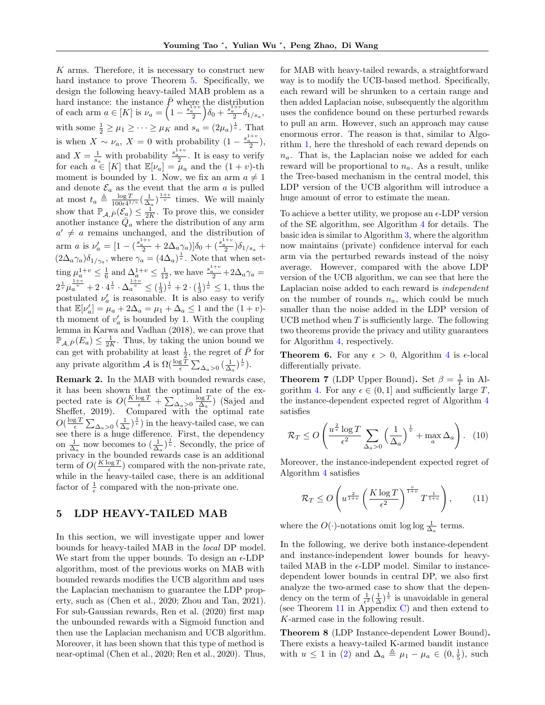K arms. Therefore, it is necessary to construct new hard instance to prove Theorem [5.](#page-5-2) Specifically, we design the following heavy-tailed MAB problem as a hard instance: the instance  $\bar{P}$  where the distribution of each arm  $a \in [K]$  is  $\nu_a = \left(1 - \frac{s_a^{1+v}}{2}\right) \delta_0 + \frac{s_a^{1+v}}{2} \delta_{1/s_a},$ with some  $\frac{1}{2} \geq \mu_1 \geq \cdots \geq \mu_K$  and  $s_a = (2\mu_a)^{\frac{1}{v}}$ . That is when  $X \sim \nu_a$ ,  $X = 0$  with probability  $(1 - \frac{s_a^{1+v}}{2}),$ and  $X = \frac{1}{s_a}$  with probability  $\frac{s_a^{1+v}}{2}$ . It is easy to verify for each  $a \in [K]$  that  $\mathbb{E}[\nu_a] = \mu_a$  and the  $(1 + v)$ -th moment is bounded by 1. Now, we fix an arm  $a \neq 1$ and denote  $\mathcal{E}_a$  as the event that the arm  $a$  is pulled at most  $t_a \triangleq \frac{\log T}{100\epsilon^{4}}$  $\frac{\log T}{100\epsilon 4^{1/v}}\left(\frac{1}{\Delta_a}\right)^{\frac{1+v}{v}}$  times. We will mainly show that  $\mathbb{P}_{\mathcal{A},\bar{P}}(\mathcal{E}_{\underline{a}}) \leq \frac{1}{2K}$ . To prove this, we consider another instance  $\overline{Q}_a$  where the distribution of any arm  $a' \neq a$  remains unchanged, and the distribution of arm *a* is  $\nu_a' = \left[1 - \left(\frac{s_a^{1+v}}{2} + 2\Delta_a \gamma_a\right)\right] \delta_0 + \left(\frac{s_a^{1+v}}{2}\right) \delta_{1/s_a} +$  $(2\Delta_a\gamma_a)\delta_{1/\gamma_a}$ , where  $\gamma_a=(4\Delta_a)^{\frac{1}{v}}$ . Note that when setting  $\mu_a^{1+v} \leq \frac{1}{6}$  and  $\Delta_a^{1+v} \leq \frac{1}{12}$ , we have  $\frac{s_a^{1+v}}{2} + 2\Delta_a \gamma_a =$  $2^{\frac{1}{v}}\mu_a^{\frac{1+v}{v}} + 2 \cdot 4^{\frac{1}{v}} \cdot \Delta_a^{\frac{1+v}{v}} \leq (\frac{1}{3})^{\frac{1}{v}} + 2 \cdot (\frac{1}{3})^{\frac{1}{v}} \leq 1$ , thus the postulated  $\nu_a'$  is reasonable. It is also easy to verify that  $\mathbb{E}[\nu_a'] = \mu_a + 2\Delta_a = \mu_1 + \Delta_a \le 1$  and the  $(1 + v)$ th moment of  $v_a'$  is bounded by 1. With the coupling lemma in [Karwa and Vadhan](#page-10-21) [\(2018\)](#page-10-21), we can prove that  $\mathbb{P}_{\mathcal{A}, \bar{P}}(E_a) \leq \frac{1}{2K}$ . Thus, by taking the union bound we can get with probability at least  $\frac{1}{2}$ , the regret of  $\overline{P}$  for any private algorithm  $\mathcal{A}$  is  $\Omega(\frac{\log T}{\epsilon} \sum_{\Delta_a > 0} (\frac{1}{\Delta_a})^{\frac{1}{v}})$ .

<span id="page-6-3"></span>Remark 2. In the MAB with bounded rewards case, it has been shown that the optimal rate of the expected rate is  $O(\frac{K \log T}{\epsilon} + \sum_{\Delta_a > 0} \frac{\log T}{\Delta_a})$  [\(Sajed and](#page-10-7) [Sheffet,](#page-10-7) [2019\)](#page-10-7). Compared with the optimal rate  $O(\frac{\log T}{\epsilon} \sum_{\Delta_a>0} (\frac{1}{\Delta_a})^{\frac{1}{v}})$  in the heavy-tailed case, we can see there is a huge difference. First, the dependency on  $\frac{1}{\Delta_a}$  now becomes to  $(\frac{1}{\Delta_a})^{\frac{1}{v}}$ . Secondly, the price of privacy in the bounded rewards case is an additional term of  $O(\frac{K \log T}{\epsilon})$  compared with the non-private rate, while in the heavy-tailed case, there is an additional factor of  $\frac{1}{\epsilon}$  compared with the non-private one.

## <span id="page-6-0"></span>5 LDP HEAVY-TAILED MAB

In this section, we will investigate upper and lower bounds for heavy-tailed MAB in the local DP model. We start from the upper bounds. To design an  $\epsilon$ -LDP algorithm, most of the previous works on MAB with bounded rewards modifies the UCB algorithm and uses the Laplacian mechanism to guarantee the LDP property, such as [\(Chen et al.,](#page-9-3) [2020;](#page-9-3) [Zhou and Tan,](#page-11-2) [2021\)](#page-11-2). For sub-Gaussian rewards, [Ren et al.](#page-10-8) [\(2020\)](#page-10-8) first map the unbounded rewards with a Sigmoid function and then use the Laplacian mechanism and UCB algorithm. Moreover, it has been shown that this type of method is near-optimal [\(Chen et al.,](#page-9-3) [2020;](#page-9-3) [Ren et al.,](#page-10-8) [2020\)](#page-10-8). Thus,

for MAB with heavy-tailed rewards, a straightforward way is to modify the UCB-based method. Specifically, each reward will be shrunken to a certain range and then added Laplacian noise, subsequently the algorithm uses the confidence bound on these perturbed rewards to pull an arm. However, such an approach may cause enormous error. The reason is that, similar to Algorithm [1,](#page-3-1) here the threshold of each reward depends on  $n_a$ . That is, the Laplacian noise we added for each reward will be proportional to  $n_a$ . As a result, unlike the Tree-based mechanism in the central model, this LDP version of the UCB algorithm will introduce a huge amount of error to estimate the mean.

To achieve a better utility, we propose an  $\epsilon$ -LDP version of the SE algorithm, see Algorithm [4](#page-7-0) for details. The basic idea is similar to Algorithm [3,](#page-5-0) where the algorithm now maintains (private) confidence interval for each arm via the perturbed rewards instead of the noisy average. However, compared with the above LDP version of the UCB algorithm, we can see that here the Laplacian noise added to each reward is independent on the number of rounds  $n_a$ , which could be much smaller than the noise added in the LDP version of UCB method when  $T$  is sufficiently large. The following two theorems provide the privacy and utility guarantees for Algorithm [4,](#page-7-0) respectively.

<span id="page-6-4"></span>**Theorem 6.** For any  $\epsilon > 0$ , Algorithm [4](#page-7-0) is  $\epsilon$ -local differentially private.

<span id="page-6-1"></span>**Theorem 7** (LDP Upper Bound). Set  $\beta = \frac{1}{T}$  in Al-gorithm [4.](#page-7-0) For any  $\epsilon \in (0,1]$  and sufficiently large T, the instance-dependent expected regret of Algorithm [4](#page-7-0) satisfies

$$
\mathcal{R}_T \le O\left(\frac{u^{\frac{2}{v}}\log T}{\epsilon^2} \sum_{\Delta_a > 0} \left(\frac{1}{\Delta_a}\right)^{\frac{1}{v}} + \max_a \Delta_a\right). \tag{10}
$$

Moreover, the instance-independent expected regret of Algorithm [4](#page-7-0) satisfies

<span id="page-6-2"></span>
$$
\mathcal{R}_T \le O\left(u^{\frac{2}{1+v}} \left(\frac{K\log T}{\epsilon^2}\right)^{\frac{v}{1+v}} T^{\frac{1}{1+v}}\right),\qquad(11)
$$

where the  $O(\cdot)$ -notations omit log log  $\frac{1}{\Delta_a}$  terms.

In the following, we derive both instance-dependent and instance-independent lower bounds for heavytailed MAB in the  $\epsilon$ -LDP model. Similar to instancedependent lower bounds in central DP, we also first analyze the two-armed case to show that the dependency on the term of  $\frac{1}{\epsilon^2} \left(\frac{1}{\Delta}\right)^{\frac{1}{v}}$  is unavoidable in general (see Theorem [11](#page-24-0) in Appendix [C\)](#page-21-0) and then extend to K-armed case in the following result.

<span id="page-6-5"></span>Theorem 8 (LDP Instance-dependent Lower Bound). There exists a heavy-tailed K-armed bandit instance with  $u \le 1$  in [\(2\)](#page-2-1) and  $\Delta_a \triangleq \mu_1 - \mu_a \in (0, \frac{1}{5})$ , such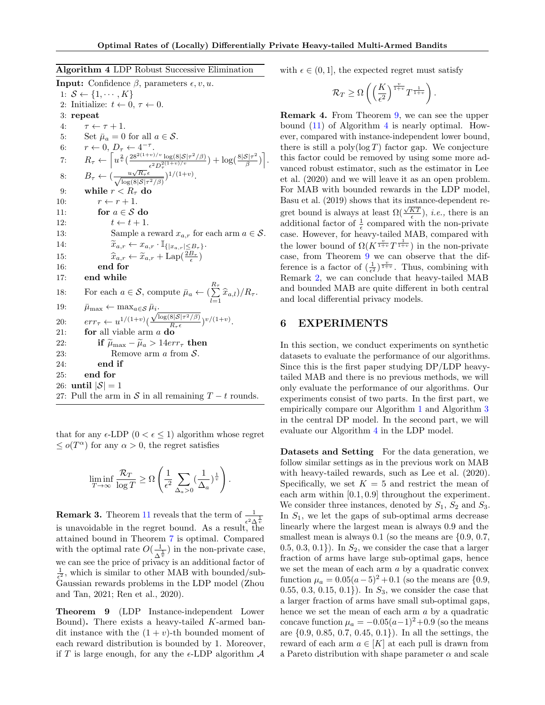<span id="page-7-0"></span>

**Input:** Confidence  $\beta$ , parameters  $\epsilon$ , v, u. 1:  $S \leftarrow \{1, \cdots, K\}$ 2: Initialize:  $t \leftarrow 0, \tau \leftarrow 0$ . 3: repeat 4:  $\tau \leftarrow \tau + 1$ . 5: Set  $\bar{\mu}_a = 0$  for all  $a \in \mathcal{S}$ . 6:  $r \leftarrow 0, D_\tau \leftarrow 4^{-\tau}.$ 7:  $R_{\tau} \leftarrow \left[ u^{\frac{2}{v}} \left( \frac{28^{2(1+v)/v} \log(8|\mathcal{S}|\tau^2/\beta)}{e^{2 \Omega(1+v)/v}} \right) \right]$  $\frac{1}{\epsilon^2 D_{\tau}^{2(1+v)/v}} \log(8|\mathcal{S}|\tau^2/\beta)} + \log(\frac{8|\mathcal{S}|\tau^2}{\beta})$  $\frac{\mathcal{S}|\tau^2}{\beta}\big)\bigg].$ 8:  $B_{\tau} \leftarrow \left(\frac{u\sqrt{R_{\tau}}\epsilon}{\sqrt{\ln |v(\epsilon)|\epsilon|}}\right)$  $\frac{u\sqrt{R_{\tau}\epsilon}}{\log(8|\mathcal{S}|\tau^2/\beta)})^{1/(1+v)}.$ 9: while  $r < R<sub>\tau</sub>$  do 10:  $r \leftarrow r + 1$ . 11: for  $a \in \mathcal{S}$  do 12:  $t \leftarrow t + 1.$ 13: Sample a reward  $x_{a,r}$  for each arm  $a \in \mathcal{S}$ . 14:  $\widetilde{x}_{a,r} \leftarrow x_{a,r} \cdot \mathbb{I}_{\{|x_{a,r}| \leq B_{\tau}\}}.$ 15:  $\hat{x}_{a,r} \leftarrow \tilde{x}_{a,r} + \text{Lap}(\frac{2B_{\tau}}{\epsilon})$ 16: end for 17: end while 18: For each  $a \in \mathcal{S}$ , compute  $\bar{\mu}_a \leftarrow \left(\sum_{l=1}^{R_{\tau}} \hat{x}_{a,l}\right)/R_{\tau}$ . 19:  $\bar{\mu}_{\text{max}} \leftarrow \max_{a \in \mathcal{S}} \bar{\mu}_i.$ 20:  $err_{\tau} \leftarrow u^{1/(1+v)}$  $\frac{\mu_i}{\sqrt{\log(8|\mathcal{S}|\tau^2/\beta)}}$  $\frac{8|\mathcal{S}|\tau^2/\beta)}{R_{\tau}\epsilon}$  $\big)^{v/(1+v)}$ . 21: **for** all viable arm  $a$  **do** 22: **if**  $\widetilde{\mu}_{\text{max}} - \widetilde{\mu}_a > 14err_{\tau}$  then<br>23: Remove arm *a* from *S*. Remove arm  $a$  from  $S$ . 24: end if 25: end for 26: until  $|\mathcal{S}| = 1$ 27: Pull the arm in S in all remaining  $T - t$  rounds.

that for any  $\epsilon$ -LDP  $(0 < \epsilon < 1)$  algorithm whose regret  $\leq o(T^{\alpha})$  for any  $\alpha > 0$ , the regret satisfies

$$
\liminf_{T \to \infty} \frac{\mathcal{R}_T}{\log T} \ge \Omega \left( \frac{1}{\epsilon^2} \sum_{\Delta_a > 0} \left( \frac{1}{\Delta_a} \right)^{\frac{1}{v}} \right).
$$

**Remark 3.** Theorem [11](#page-24-0) reveals that the term of  $\frac{1}{\epsilon^2 \Delta^{\frac{1}{v}}}$ is unavoidable in the regret bound. As a result, the attained bound in Theorem [7](#page-6-1) is optimal. Compared with the optimal rate  $O(\frac{1}{\epsilon})$  $\frac{1}{\Delta^{\frac{1}{v}}}$ ) in the non-private case, we can see the price of privacy is an additional factor of  $\frac{1}{\epsilon^2}$ , which is similar to other MAB with bounded/sub-Gaussian rewards problems in the LDP model [\(Zhou](#page-11-2) [and Tan,](#page-11-2) [2021;](#page-11-2) [Ren et al.,](#page-10-8) [2020\)](#page-10-8).

<span id="page-7-1"></span>Theorem 9 (LDP Instance-independent Lower Bound). There exists a heavy-tailed K-armed bandit instance with the  $(1 + v)$ -th bounded moment of each reward distribution is bounded by 1. Moreover, if T is large enough, for any the  $\epsilon$ -LDP algorithm  $\mathcal A$  with  $\epsilon \in (0, 1]$ , the expected regret must satisfy

$$
\mathcal{R}_T \geq \Omega \left( \left( \frac{K}{\epsilon^2} \right)^{\frac{v}{1+v}} T^{\frac{1}{1+v}} \right)
$$

.

Remark 4. From Theorem [9,](#page-7-1) we can see the upper bound  $(11)$  of Algorithm [4](#page-7-0) is nearly optimal. However, compared with instance-independent lower bound, there is still a  $poly(\log T)$  factor gap. We conjecture this factor could be removed by using some more advanced robust estimator, such as the estimator in [Lee](#page-10-15) [et al.](#page-10-15) [\(2020\)](#page-10-15) and we will leave it as an open problem. For MAB with bounded rewards in the LDP model, [Basu et al.](#page-9-7) [\(2019\)](#page-9-7) shows that its instance-dependent re-Least ce all (2019) shows that the instance dependent to<br>gret bound is always at least  $\Omega(\frac{\sqrt{KT}}{\epsilon})$ , *i.e.*, there is an additional factor of  $\frac{1}{\epsilon}$  compared with the non-private case. However, for heavy-tailed MAB, compared with the lower bound of  $\Omega(K^{\frac{v}{1+v}}T^{\frac{1}{1+v}})$  in the non-private case, from Theorem [9](#page-7-1) we can observe that the difference is a factor of  $(\frac{1}{\epsilon^2})^{\frac{v}{1+v}}$ . Thus, combining with Remark [2,](#page-6-3) we can conclude that heavy-tailed MAB and bounded MAB are quite different in both central and local differential privacy models.

### <span id="page-7-2"></span>6 EXPERIMENTS

In this section, we conduct experiments on synthetic datasets to evaluate the performance of our algorithms. Since this is the first paper studying DP/LDP heavytailed MAB and there is no previous methods, we will only evaluate the performance of our algorithms. Our experiments consist of two parts. In the first part, we empirically compare our Algorithm [1](#page-3-1) and Algorithm [3](#page-5-0) in the central DP model. In the second part, we will evaluate our Algorithm [4](#page-7-0) in the LDP model.

Datasets and Setting For the data generation, we follow similar settings as in the previous work on MAB with heavy-tailed rewards, such as [Lee et al.](#page-10-15) [\(2020\)](#page-10-15). Specifically, we set  $K = 5$  and restrict the mean of each arm within [0.1, 0.9] throughout the experiment. We consider three instances, denoted by  $S_1$ ,  $S_2$  and  $S_3$ . In  $S_1$ , we let the gaps of sub-optimal arms decrease linearly where the largest mean is always 0.9 and the smallest mean is always  $0.1$  (so the means are  $\{0.9, 0.7, \ldots\}$  $(0.5, 0.3, 0.1)$ . In  $S_2$ , we consider the case that a larger fraction of arms have large sub-optimal gaps, hence we set the mean of each arm  $a$  by a quadratic convex function  $\mu_a = 0.05(a-5)^2 + 0.1$  (so the means are {0.9, 0.55, 0.3, 0.15, 0.1}). In  $S_3$ , we consider the case that a larger fraction of arms have small sub-optimal gaps, hence we set the mean of each arm a by a quadratic concave function  $\mu_a = -0.05(a-1)^2+0.9$  (so the means are {0.9, 0.85, 0.7, 0.45, 0.1}). In all the settings, the reward of each arm  $a \in [K]$  at each pull is drawn from a Pareto distribution with shape parameter  $\alpha$  and scale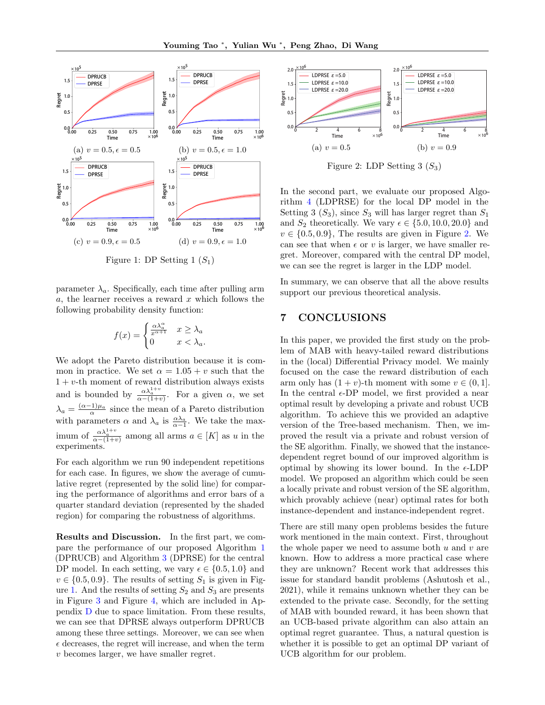<span id="page-8-0"></span>

Figure 1: DP Setting  $1(S_1)$ 

parameter  $\lambda_a$ . Specifically, each time after pulling arm  $a$ , the learner receives a reward x which follows the following probability density function:

$$
f(x) = \begin{cases} \frac{\alpha \lambda_a^{\alpha}}{x^{\alpha+1}} & x \ge \lambda_a \\ 0 & x < \lambda_a. \end{cases}
$$

We adopt the Pareto distribution because it is common in practice. We set  $\alpha = 1.05 + v$  such that the  $1 + v$ -th moment of reward distribution always exists and is bounded by  $\frac{\alpha \lambda_a^{1+v}}{\alpha - (1+v)}$ . For a given  $\alpha$ , we set  $\lambda_a = \frac{(\alpha - 1)\mu_a}{\alpha}$  since the mean of a Pareto distribution with parameters  $\alpha$  and  $\lambda_a$  is  $\frac{\alpha \lambda_a}{\alpha - 1}$ . We take the maximum of  $\frac{\alpha \lambda_a^{1+v}}{\alpha - (1+v)}$  among all arms  $a \in [K]$  as u in the experiments.

For each algorithm we run 90 independent repetitions for each case. In figures, we show the average of cumulative regret (represented by the solid line) for comparing the performance of algorithms and error bars of a quarter standard deviation (represented by the shaded region) for comparing the robustness of algorithms.

Results and Discussion. In the first part, we compare the performance of our proposed Algorithm [1](#page-3-1) (DPRUCB) and Algorithm [3](#page-5-0) (DPRSE) for the central DP model. In each setting, we vary  $\epsilon \in \{0.5, 1.0\}$  and  $v \in \{0.5, 0.9\}$ . The results of setting  $S_1$  is given in Fig-ure [1.](#page-8-0) And the results of setting  $S_2$  and  $S_3$  are presents in Figure [3](#page-28-0) and Figure [4,](#page-28-1) which are included in Appendix [D](#page-28-2) due to space limitation. From these results, we can see that DPRSE always outperform DPRUCB among these three settings. Moreover, we can see when  $\epsilon$  decreases, the regret will increase, and when the term v becomes larger, we have smaller regret.

<span id="page-8-1"></span>

Figure 2: LDP Setting  $3(S_3)$ 

In the second part, we evaluate our proposed Algorithm [4](#page-7-0) (LDPRSE) for the local DP model in the Setting 3  $(S_3)$ , since  $S_3$  will has larger regret than  $S_1$ and  $S_2$  theoretically. We vary  $\epsilon \in \{5.0, 10.0, 20.0\}$  and  $v \in \{0.5, 0.9\}$ , The results are given in Figure [2.](#page-8-1) We can see that when  $\epsilon$  or v is larger, we have smaller regret. Moreover, compared with the central DP model, we can see the regret is larger in the LDP model.

In summary, we can observe that all the above results support our previous theoretical analysis.

## 7 CONCLUSIONS

In this paper, we provided the first study on the problem of MAB with heavy-tailed reward distributions in the (local) Differential Privacy model. We mainly focused on the case the reward distribution of each arm only has  $(1 + v)$ -th moment with some  $v \in (0, 1]$ . In the central  $\epsilon$ -DP model, we first provided a near optimal result by developing a private and robust UCB algorithm. To achieve this we provided an adaptive version of the Tree-based mechanism. Then, we improved the result via a private and robust version of the SE algorithm. Finally, we showed that the instancedependent regret bound of our improved algorithm is optimal by showing its lower bound. In the  $\epsilon$ -LDP model. We proposed an algorithm which could be seen a locally private and robust version of the SE algorithm, which provably achieve (near) optimal rates for both instance-dependent and instance-independent regret.

There are still many open problems besides the future work mentioned in the main context. First, throughout the whole paper we need to assume both  $u$  and  $v$  are known. How to address a more practical case where they are unknown? Recent work that addresses this issue for standard bandit problems [\(Ashutosh et al.,](#page-9-22) [2021\)](#page-9-22), while it remains unknown whether they can be extended to the private case. Secondly, for the setting of MAB with bounded reward, it has been shown that an UCB-based private algorithm can also attain an optimal regret guarantee. Thus, a natural question is whether it is possible to get an optimal DP variant of UCB algorithm for our problem.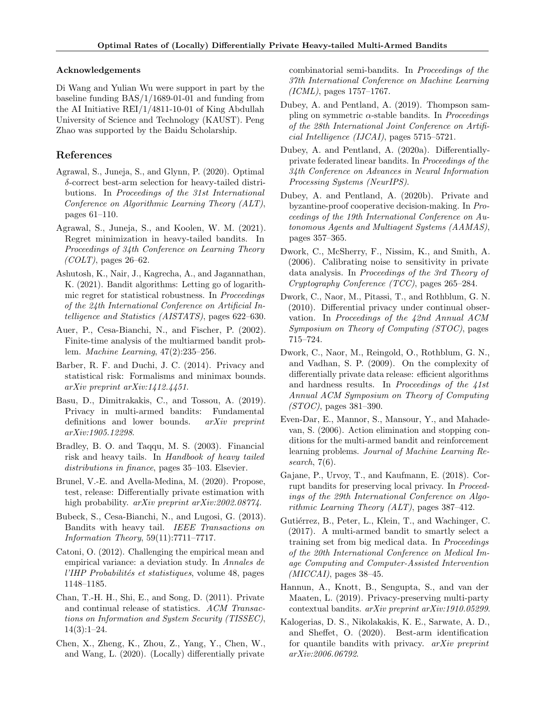#### Acknowledgements

Di Wang and Yulian Wu were support in part by the baseline funding BAS/1/1689-01-01 and funding from the AI Initiative REI/1/4811-10-01 of King Abdullah University of Science and Technology (KAUST). Peng Zhao was supported by the Baidu Scholarship.

## References

- <span id="page-9-14"></span>Agrawal, S., Juneja, S., and Glynn, P. (2020). Optimal δ-correct best-arm selection for heavy-tailed distributions. In Proceedings of the 31st International Conference on Algorithmic Learning Theory (ALT), pages 61–110.
- <span id="page-9-13"></span>Agrawal, S., Juneja, S., and Koolen, W. M. (2021). Regret minimization in heavy-tailed bandits. In Proceedings of 34th Conference on Learning Theory  $(COLT)$ , pages 26–62.
- <span id="page-9-22"></span>Ashutosh, K., Nair, J., Kagrecha, A., and Jagannathan, K. (2021). Bandit algorithms: Letting go of logarithmic regret for statistical robustness. In Proceedings of the 24th International Conference on Artificial Intelligence and Statistics (AISTATS), pages 622–630.
- <span id="page-9-20"></span>Auer, P., Cesa-Bianchi, N., and Fischer, P. (2002). Finite-time analysis of the multiarmed bandit problem. Machine Learning, 47(2):235–256.
- <span id="page-9-17"></span>Barber, R. F. and Duchi, J. C. (2014). Privacy and statistical risk: Formalisms and minimax bounds. arXiv preprint arXiv:1412.4451.
- <span id="page-9-7"></span>Basu, D., Dimitrakakis, C., and Tossou, A. (2019). Privacy in multi-armed bandits: Fundamental definitions and lower bounds. arXiv preprint arXiv:1905.12298.
- <span id="page-9-9"></span>Bradley, B. O. and Taqqu, M. S. (2003). Financial risk and heavy tails. In Handbook of heavy tailed distributions in finance, pages 35–103. Elsevier.
- <span id="page-9-18"></span>Brunel, V.-E. and Avella-Medina, M. (2020). Propose, test, release: Differentially private estimation with high probability. *arXiv preprint arXiv:2002.08774*.
- <span id="page-9-12"></span>Bubeck, S., Cesa-Bianchi, N., and Lugosi, G. (2013). Bandits with heavy tail. IEEE Transactions on Information Theory, 59(11):7711–7717.
- <span id="page-9-19"></span>Catoni, O. (2012). Challenging the empirical mean and empirical variance: a deviation study. In Annales de l'IHP Probabilités et statistiques, volume 48, pages 1148–1185.
- <span id="page-9-15"></span>Chan, T.-H. H., Shi, E., and Song, D. (2011). Private and continual release of statistics. ACM Transactions on Information and System Security (TISSEC),  $14(3):1-24.$
- <span id="page-9-3"></span>Chen, X., Zheng, K., Zhou, Z., Yang, Y., Chen, W., and Wang, L. (2020). (Locally) differentially private

combinatorial semi-bandits. In Proceedings of the 37th International Conference on Machine Learning (ICML), pages 1757–1767.

- <span id="page-9-8"></span>Dubey, A. and Pentland, A. (2019). Thompson sampling on symmetric  $\alpha$ -stable bandits. In *Proceedings* of the 28th International Joint Conference on Artificial Intelligence (IJCAI), pages 5715–5721.
- <span id="page-9-5"></span>Dubey, A. and Pentland, A. (2020a). Differentiallyprivate federated linear bandits. In Proceedings of the 34th Conference on Advances in Neural Information Processing Systems (NeurIPS).
- <span id="page-9-6"></span>Dubey, A. and Pentland, A. (2020b). Private and byzantine-proof cooperative decision-making. In Proceedings of the 19th International Conference on Autonomous Agents and Multiagent Systems (AAMAS), pages 357–365.
- <span id="page-9-1"></span>Dwork, C., McSherry, F., Nissim, K., and Smith, A. (2006). Calibrating noise to sensitivity in private data analysis. In Proceedings of the 3rd Theory of Cryptography Conference (TCC), pages 265–284.
- <span id="page-9-10"></span>Dwork, C., Naor, M., Pitassi, T., and Rothblum, G. N. (2010). Differential privacy under continual observation. In Proceedings of the 42nd Annual ACM Symposium on Theory of Computing (STOC), pages 715–724.
- <span id="page-9-21"></span>Dwork, C., Naor, M., Reingold, O., Rothblum, G. N., and Vadhan, S. P. (2009). On the complexity of differentially private data release: efficient algorithms and hardness results. In Proceedings of the 41st Annual ACM Symposium on Theory of Computing (STOC), pages 381–390.
- <span id="page-9-16"></span>Even-Dar, E., Mannor, S., Mansour, Y., and Mahadevan, S. (2006). Action elimination and stopping conditions for the multi-armed bandit and reinforcement learning problems. Journal of Machine Learning Research, 7(6).
- <span id="page-9-11"></span>Gajane, P., Urvoy, T., and Kaufmann, E. (2018). Corrupt bandits for preserving local privacy. In Proceedings of the 29th International Conference on Algorithmic Learning Theory (ALT), pages 387–412.
- <span id="page-9-0"></span>Gutiérrez, B., Peter, L., Klein, T., and Wachinger, C. (2017). A multi-armed bandit to smartly select a training set from big medical data. In Proceedings of the 20th International Conference on Medical Image Computing and Computer-Assisted Intervention  $(MICCAI)$ , pages 38–45.
- <span id="page-9-4"></span>Hannun, A., Knott, B., Sengupta, S., and van der Maaten, L. (2019). Privacy-preserving multi-party contextual bandits. arXiv preprint arXiv:1910.05299.
- <span id="page-9-2"></span>Kalogerias, D. S., Nikolakakis, K. E., Sarwate, A. D., and Sheffet, O. (2020). Best-arm identification for quantile bandits with privacy. arXiv preprint arXiv:2006.06792.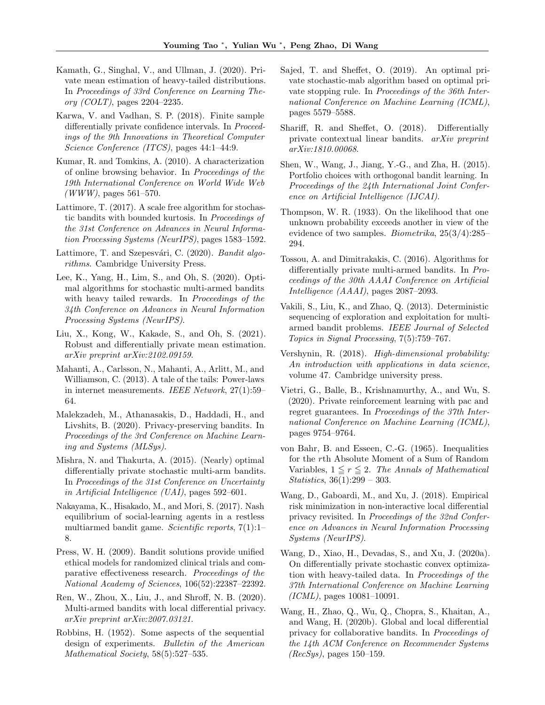- <span id="page-10-18"></span>Kamath, G., Singhal, V., and Ullman, J. (2020). Private mean estimation of heavy-tailed distributions. In Proceedings of 33rd Conference on Learning Theory (COLT), pages 2204–2235.
- <span id="page-10-21"></span>Karwa, V. and Vadhan, S. P. (2018). Finite sample differentially private confidence intervals. In *Proceed*ings of the 9th Innovations in Theoretical Computer Science Conference (ITCS), pages 44:1–44:9.
- <span id="page-10-13"></span>Kumar, R. and Tomkins, A. (2010). A characterization of online browsing behavior. In Proceedings of the 19th International Conference on World Wide Web  $(WWW)$ , pages 561–570.
- <span id="page-10-16"></span>Lattimore, T. (2017). A scale free algorithm for stochastic bandits with bounded kurtosis. In Proceedings of the 31st Conference on Advances in Neural Information Processing Systems (NeurIPS), pages 1583–1592.
- <span id="page-10-25"></span>Lattimore, T. and Szepesvári, C. (2020). Bandit algorithms. Cambridge University Press.
- <span id="page-10-15"></span>Lee, K., Yang, H., Lim, S., and Oh, S. (2020). Optimal algorithms for stochastic multi-armed bandits with heavy tailed rewards. In Proceedings of the 34th Conference on Advances in Neural Information Processing Systems (NeurIPS).
- <span id="page-10-19"></span>Liu, X., Kong, W., Kakade, S., and Oh, S. (2021). Robust and differentially private mean estimation. arXiv preprint arXiv:2102.09159.
- <span id="page-10-12"></span>Mahanti, A., Carlsson, N., Mahanti, A., Arlitt, M., and Williamson, C. (2013). A tale of the tails: Power-laws in internet measurements. IEEE Network, 27(1):59– 64.
- <span id="page-10-10"></span>Malekzadeh, M., Athanasakis, D., Haddadi, H., and Livshits, B. (2020). Privacy-preserving bandits. In Proceedings of the 3rd Conference on Machine Learning and Systems (MLSys).
- <span id="page-10-5"></span>Mishra, N. and Thakurta, A. (2015). (Nearly) optimal differentially private stochastic multi-arm bandits. In Proceedings of the 31st Conference on Uncertainty in Artificial Intelligence (UAI), pages 592–601.
- <span id="page-10-3"></span>Nakayama, K., Hisakado, M., and Mori, S. (2017). Nash equilibrium of social-learning agents in a restless multiarmed bandit game. Scientific reports, 7(1):1– 8.
- <span id="page-10-4"></span>Press, W. H. (2009). Bandit solutions provide unified ethical models for randomized clinical trials and comparative effectiveness research. Proceedings of the National Academy of Sciences, 106(52):22387–22392.
- <span id="page-10-8"></span>Ren, W., Zhou, X., Liu, J., and Shroff, N. B. (2020). Multi-armed bandits with local differential privacy. arXiv preprint arXiv:2007.03121.
- <span id="page-10-1"></span>Robbins, H. (1952). Some aspects of the sequential design of experiments. Bulletin of the American Mathematical Society, 58(5):527-535.
- <span id="page-10-7"></span>Sajed, T. and Sheffet, O. (2019). An optimal private stochastic-mab algorithm based on optimal private stopping rule. In Proceedings of the 36th International Conference on Machine Learning (ICML), pages 5579–5588.
- <span id="page-10-9"></span>Shariff, R. and Sheffet, O. (2018). Differentially private contextual linear bandits. arXiv preprint arXiv:1810.00068.
- <span id="page-10-2"></span>Shen, W., Wang, J., Jiang, Y.-G., and Zha, H. (2015). Portfolio choices with orthogonal bandit learning. In Proceedings of the 24th International Joint Conference on Artificial Intelligence (IJCAI).
- <span id="page-10-0"></span>Thompson, W. R. (1933). On the likelihood that one unknown probability exceeds another in view of the evidence of two samples. Biometrika, 25(3/4):285– 294.
- <span id="page-10-6"></span>Tossou, A. and Dimitrakakis, C. (2016). Algorithms for differentially private multi-armed bandits. In Proceedings of the 30th AAAI Conference on Artificial Intelligence (AAAI), pages 2087–2093.
- <span id="page-10-17"></span>Vakili, S., Liu, K., and Zhao, Q. (2013). Deterministic sequencing of exploration and exploitation for multiarmed bandit problems. IEEE Journal of Selected Topics in Signal Processing, 7(5):759–767.
- <span id="page-10-22"></span>Vershynin, R. (2018). High-dimensional probability: An introduction with applications in data science, volume 47. Cambridge university press.
- <span id="page-10-14"></span>Vietri, G., Balle, B., Krishnamurthy, A., and Wu, S. (2020). Private reinforcement learning with pac and regret guarantees. In Proceedings of the 37th International Conference on Machine Learning (ICML), pages 9754–9764.
- <span id="page-10-24"></span>von Bahr, B. and Esseen, C.-G. (1965). Inequalities for the rth Absolute Moment of a Sum of Random Variables,  $1 \leq r \leq 2$ . The Annals of Mathematical Statistics, 36(1):299 – 303.
- <span id="page-10-23"></span>Wang, D., Gaboardi, M., and Xu, J. (2018). Empirical risk minimization in non-interactive local differential privacy revisited. In Proceedings of the 32nd Conference on Advances in Neural Information Processing Systems (NeurIPS).
- <span id="page-10-20"></span>Wang, D., Xiao, H., Devadas, S., and Xu, J. (2020a). On differentially private stochastic convex optimization with heavy-tailed data. In Proceedings of the 37th International Conference on Machine Learning (ICML), pages 10081–10091.
- <span id="page-10-11"></span>Wang, H., Zhao, Q., Wu, Q., Chopra, S., Khaitan, A., and Wang, H. (2020b). Global and local differential privacy for collaborative bandits. In Proceedings of the 14th ACM Conference on Recommender Systems  $(RecSys)$ , pages 150–159.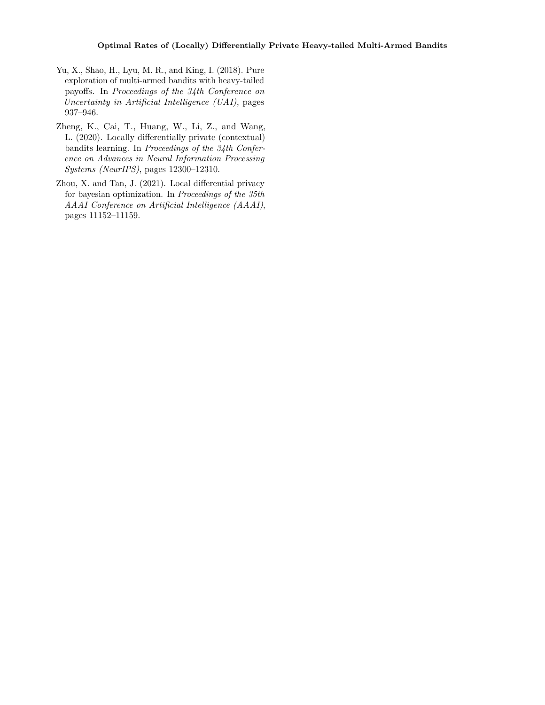- <span id="page-11-1"></span>Yu, X., Shao, H., Lyu, M. R., and King, I. (2018). Pure exploration of multi-armed bandits with heavy-tailed payoffs. In Proceedings of the 34th Conference on Uncertainty in Artificial Intelligence (UAI), pages 937–946.
- <span id="page-11-0"></span>Zheng, K., Cai, T., Huang, W., Li, Z., and Wang, L. (2020). Locally differentially private (contextual) bandits learning. In Proceedings of the 34th Conference on Advances in Neural Information Processing Systems (NeurIPS), pages 12300–12310.
- <span id="page-11-2"></span>Zhou, X. and Tan, J. (2021). Local differential privacy for bayesian optimization. In Proceedings of the 35th AAAI Conference on Artificial Intelligence (AAAI), pages 11152–11159.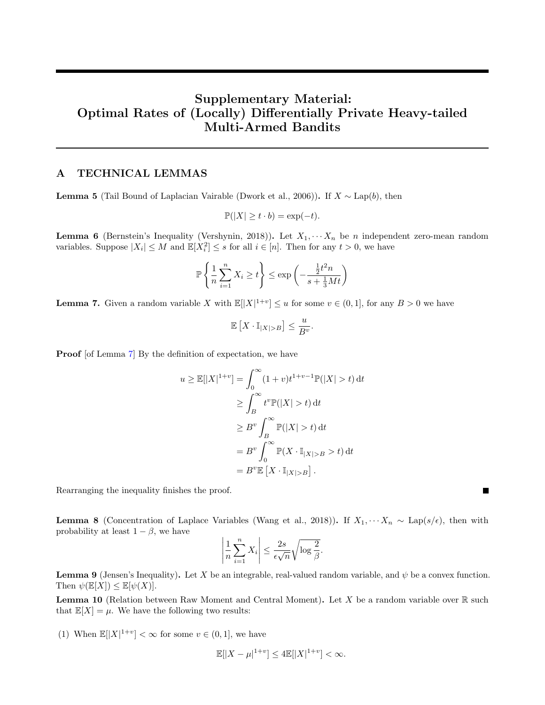# Supplementary Material: Optimal Rates of (Locally) Differentially Private Heavy-tailed Multi-Armed Bandits

## A TECHNICAL LEMMAS

<span id="page-12-3"></span>**Lemma 5** (Tail Bound of Laplacian Vairable [\(Dwork et al.,](#page-9-1) [2006\)](#page-9-1)). If  $X \sim \text{Lap}(b)$ , then

$$
\mathbb{P}(|X| \ge t \cdot b) = \exp(-t).
$$

<span id="page-12-4"></span>**Lemma 6** (Bernstein's Inequality [\(Vershynin,](#page-10-22) [2018\)](#page-10-22)). Let  $X_1, \cdots, X_n$  be n independent zero-mean random variables. Suppose  $|X_i| \leq M$  and  $\mathbb{E}[X_i^2] \leq s$  for all  $i \in [n]$ . Then for any  $t > 0$ , we have

$$
\mathbb{P}\left\{\frac{1}{n}\sum_{i=1}^{n}X_i \ge t\right\} \le \exp\left(-\frac{\frac{1}{2}t^2n}{s+\frac{1}{3}Mt}\right)
$$

<span id="page-12-1"></span>**Lemma 7.** Given a random variable X with  $\mathbb{E}[|X|^{1+v}] \leq u$  for some  $v \in (0,1]$ , for any  $B > 0$  we have

$$
\mathbb{E}\left[X\cdot \mathbb{I}_{|X|>B}\right]\leq \frac{u}{B^v}.
$$

**Proof** [of Lemma [7\]](#page-12-1) By the definition of expectation, we have

$$
u \ge \mathbb{E}[|X|^{1+v}] = \int_0^\infty (1+v)t^{1+v-1}\mathbb{P}(|X| > t) dt
$$
  
\n
$$
\ge \int_B^\infty t^v \mathbb{P}(|X| > t) dt
$$
  
\n
$$
\ge B^v \int_B^\infty \mathbb{P}(|X| > t) dt
$$
  
\n
$$
= B^v \int_0^\infty \mathbb{P}(X \cdot \mathbb{I}_{|X| > B} > t) dt
$$
  
\n
$$
= B^v \mathbb{E}[X \cdot \mathbb{I}_{|X| > B}].
$$

Rearranging the inequality finishes the proof.

<span id="page-12-5"></span>**Lemma 8** (Concentration of Laplace Variables [\(Wang et al.,](#page-10-23) [2018\)](#page-10-23)). If  $X_1, \dots, X_n \sim \text{Lap}(s/\epsilon)$ , then with probability at least  $1 - \beta$ , we have

$$
\left|\frac{1}{n}\sum_{i=1}^n X_i\right| \le \frac{2s}{\epsilon\sqrt{n}}\sqrt{\log\frac{2}{\beta}}.
$$

<span id="page-12-2"></span>**Lemma 9** (Jensen's Inequality). Let X be an integrable, real-valued random variable, and  $\psi$  be a convex function. Then  $\psi(\mathbb{E}[X]) \leq \mathbb{E}[\psi(X)].$ 

<span id="page-12-0"></span>**Lemma 10** (Relation between Raw Moment and Central Moment). Let X be a random variable over  $\mathbb{R}$  such that  $\mathbb{E}[X] = \mu$ . We have the following two results:

(1) When  $\mathbb{E}[|X|^{1+v}] < \infty$  for some  $v \in (0,1]$ , we have

$$
\mathbb{E}[|X - \mu|^{1+v}] \le 4 \mathbb{E}[|X|^{1+v}] < \infty.
$$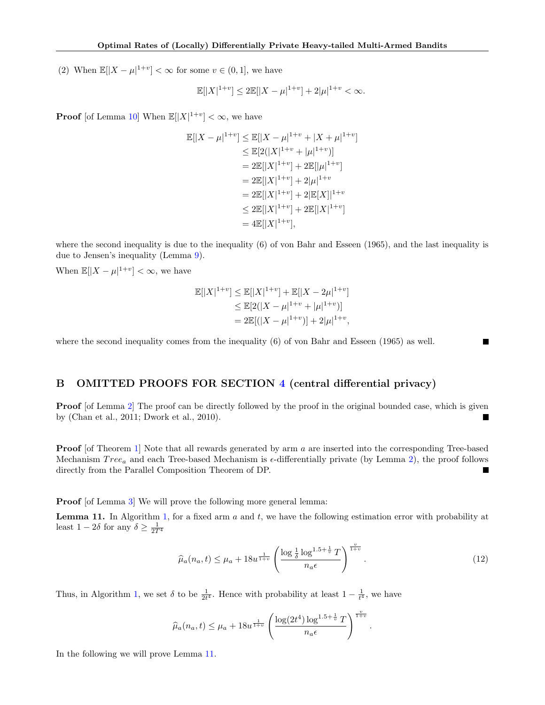(2) When  $\mathbb{E}[|X - \mu|^{1+v}] < \infty$  for some  $v \in (0,1]$ , we have

$$
\mathbb{E}[|X|^{1+v}] \le 2\mathbb{E}[|X - \mu|^{1+v}] + 2|\mu|^{1+v} < \infty.
$$

**Proof** [of Lemma [10\]](#page-12-0) When  $\mathbb{E}[|X|^{1+v}] < \infty$ , we have

$$
\mathbb{E}[|X - \mu|^{1+v}] \le \mathbb{E}[|X - \mu|^{1+v} + |X + \mu|^{1+v}]
$$
  
\n
$$
\le \mathbb{E}[2(|X|^{1+v} + |\mu|^{1+v})]
$$
  
\n
$$
= 2\mathbb{E}[|X|^{1+v}] + 2\mathbb{E}[|\mu|^{1+v}]
$$
  
\n
$$
= 2\mathbb{E}[|X|^{1+v}] + 2|\mu|^{1+v}
$$
  
\n
$$
= 2\mathbb{E}[|X|^{1+v}] + 2\mathbb{E}[X]|^{1+v}
$$
  
\n
$$
\le 2\mathbb{E}[|X|^{1+v}] + 2\mathbb{E}[|X|^{1+v}]
$$
  
\n
$$
= 4\mathbb{E}[|X|^{1+v}],
$$

where the second inequality is due to the inequality (6) of [von Bahr and Esseen](#page-10-24) [\(1965\)](#page-10-24), and the last inequality is due to Jensen's inequality (Lemma [9\)](#page-12-2).

When  $\mathbb{E}[|X-\mu|^{1+v}] < \infty$ , we have

$$
\mathbb{E}[|X|^{1+v}] \le \mathbb{E}[|X|^{1+v}] + \mathbb{E}[|X - 2\mu|^{1+v}]
$$
  
\n
$$
\le \mathbb{E}[2(|X - \mu|^{1+v} + |\mu|^{1+v})]
$$
  
\n
$$
= 2\mathbb{E}[(|X - \mu|^{1+v})] + 2|\mu|^{1+v},
$$

where the second inequality comes from the inequality (6) of [von Bahr and Esseen](#page-10-24) [\(1965\)](#page-10-24) as well.

## B OMITTED PROOFS FOR SECTION [4](#page-3-0) (central differential privacy)

**Proof** [of Lemma [2\]](#page-4-1) The proof can be directly followed by the proof in the original bounded case, which is given by [\(Chan et al.,](#page-9-15) [2011;](#page-9-15) [Dwork et al.,](#page-9-10) [2010\)](#page-9-10).

**Proof** [of Theorem [1\]](#page-4-2) Note that all rewards generated by arm a are inserted into the corresponding Tree-based Mechanism  $Tree_a$  and each Tree-based Mechanism is  $\epsilon$ -differentially private (by Lemma [2\)](#page-4-1), the proof follows directly from the Parallel Composition Theorem of DP. ٠

Proof [of Lemma [3\]](#page-4-4) We will prove the following more general lemma:

<span id="page-13-0"></span>**Lemma 11.** In Algorithm [1,](#page-3-1) for a fixed arm  $a$  and  $t$ , we have the following estimation error with probability at least  $1 - 2\delta$  for any  $\delta \ge \frac{1}{2T^4}$ 

$$
\widehat{\mu}_a(n_a, t) \le \mu_a + 18u^{\frac{1}{1+v}} \left( \frac{\log \frac{1}{\delta} \log^{1.5 + \frac{1}{v}} T}{n_a \epsilon} \right)^{\frac{v}{1+v}}.
$$
\n(12)

Thus, in Algorithm [1,](#page-3-1) we set  $\delta$  to be  $\frac{1}{2t^4}$ . Hence with probability at least  $1 - \frac{1}{t^4}$ , we have

$$
\widehat{\mu}_a(n_a,t) \leq \mu_a + 18u^{\frac{1}{1+v}} \left( \frac{\log(2t^4) \log^{1.5+\frac{1}{v}} T}{n_a \epsilon} \right)^{\frac{v}{1+v}}.
$$

In the following we will prove Lemma [11.](#page-13-0)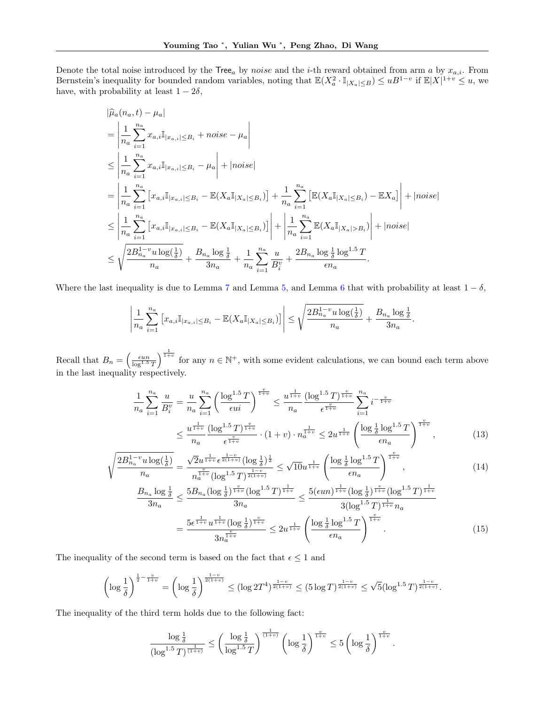Denote the total noise introduced by the Tree<sub>a</sub> by noise and the *i*-th reward obtained from arm a by  $x_{a,i}$ . From Bernstein's inequality for bounded random variables, noting that  $\mathbb{E}(X_a^2 \cdot \mathbb{I}_{|X_a| \leq B}) \leq uB^{1-v}$  if  $\mathbb{E}|X|^{1+v} \leq u$ , we have, with probability at least  $1 - 2\delta$ ,

$$
\hat{\mu}_{a}(n_{a},t) - \mu_{a}|
$$
\n
$$
= \left| \frac{1}{n_{a}} \sum_{i=1}^{n_{a}} x_{a,i} \mathbb{I}_{|x_{a,i}| \leq B_{i}} + noise - \mu_{a} \right|
$$
\n
$$
\leq \left| \frac{1}{n_{a}} \sum_{i=1}^{n_{a}} x_{a,i} \mathbb{I}_{|x_{a,i}| \leq B_{i}} - \mu_{a} \right| + |noise|
$$
\n
$$
= \left| \frac{1}{n_{a}} \sum_{i=1}^{n_{a}} \left[ x_{a,i} \mathbb{I}_{|x_{a,i}| \leq B_{i}} - \mathbb{E}(X_{a} \mathbb{I}_{|X_{a}| \leq B_{i}}) \right] + \frac{1}{n_{a}} \sum_{i=1}^{n_{a}} \left[ \mathbb{E}(X_{a} \mathbb{I}_{|X_{a}| \leq B_{i}}) - \mathbb{E}X_{a} \right] + |noise|
$$
\n
$$
\leq \left| \frac{1}{n_{a}} \sum_{i=1}^{n_{a}} \left[ x_{a,i} \mathbb{I}_{|x_{a,i}| \leq B_{i}} - \mathbb{E}(X_{a} \mathbb{I}_{|X_{a}| \leq B_{i}}) \right] \right| + \left| \frac{1}{n_{a}} \sum_{i=1}^{n_{a}} \mathbb{E}(X_{a} \mathbb{I}_{|X_{a}| > B_{i}}) \right| + |noise|
$$
\n
$$
\leq \sqrt{\frac{2B_{n_{a}}^{1-v}u \log(\frac{1}{\delta})}{n_{a}} + \frac{B_{n_{a}} \log \frac{1}{\delta}}{3n_{a}} + \frac{1}{n_{a}} \sum_{i=1}^{n_{a}} \frac{u}{B_{i}^{v}} + \frac{2B_{n_{a}} \log \frac{1}{\delta} \log^{1.5} T}{\epsilon n_{a}}.
$$

Where the last inequality is due to Lemma [7](#page-12-1) and Lemma [5,](#page-12-3) and Lemma [6](#page-12-4) that with probability at least  $1 - \delta$ ,

$$
\left| \frac{1}{n_a} \sum_{i=1}^{n_a} \left[ x_{a,i} \mathbb{I}_{|x_{a,i}| \leq B_i} - \mathbb{E}(X_a \mathbb{I}_{|X_a| \leq B_i}) \right] \right| \leq \sqrt{\frac{2B_{n_a}^{1-v} u \log(\frac{1}{\delta})}{n_a}} + \frac{B_{n_a} \log \frac{1}{\delta}}{3n_a}
$$

Recall that  $B_n = \left(\frac{\epsilon u n}{\log^{1.5} T}\right)^{\frac{1}{1+v}}$  for any  $n \in \mathbb{N}^+$ , with some evident calculations, we can bound each term above in the last inequality respectively.

$$
\frac{1}{n_a} \sum_{i=1}^{n_a} \frac{u}{B_i^v} = \frac{u}{n_a} \sum_{i=1}^{n_a} \left( \frac{\log^{1.5} T}{\epsilon u i} \right)^{\frac{v}{1+v}} \le \frac{u^{\frac{1}{1+v}}}{n_a} \frac{(\log^{1.5} T)^{\frac{v}{1+v}}}{\epsilon^{\frac{v}{1+v}}} \sum_{i=1}^{n_a} i^{-\frac{v}{1+v}} \n\le \frac{u^{\frac{1}{1+v}}}{n_a} \frac{(\log^{1.5} T)^{\frac{v}{1+v}}}{\epsilon^{\frac{v}{1+v}}} \cdot (1+v) \cdot n_a^{\frac{1}{1+v}} \le 2u^{\frac{1}{1+v}} \left( \frac{\log \frac{1}{\delta} \log^{1.5} T}{\epsilon n_a} \right)^{\frac{v}{1+v}},
$$
\n(13)

<span id="page-14-1"></span><span id="page-14-0"></span>.

<span id="page-14-2"></span>.

$$
\sqrt{\frac{2B_{n_a}^{1-v}u\log(\frac{1}{\delta})}{n_a}} = \frac{\sqrt{2}u^{\frac{1}{1+v}}\epsilon^{\frac{1-v}{2(1+v)}}(\log\frac{1}{\delta})^{\frac{1}{2}}}{n_a^{\frac{v}{1+v}}(\log^{1.5}T)^{\frac{1-v}{2(1+v)}}} \le \sqrt{10}u^{\frac{1}{1+v}}\left(\frac{\log\frac{1}{\delta}\log^{1.5}T}{\epsilon n_a}\right)^{\frac{v}{1+v}},\tag{14}
$$

$$
\frac{B_{n_a} \log \frac{1}{\delta}}{3n_a} \le \frac{5B_{n_a} (\log \frac{1}{\delta})^{\frac{v}{1+v}} (\log^{1.5} T)^{\frac{1}{1+v}}}{3n_a} \le \frac{5(\epsilon un)^{\frac{1}{1+v}} (\log \frac{1}{\delta})^{\frac{v}{1+v}} (\log^{1.5} T)^{\frac{1}{1+v}}}{3(\log^{1.5} T)^{\frac{1}{1+v}} n_a}
$$
\n
$$
= \frac{5\epsilon^{\frac{1}{1+v}} u^{\frac{1}{1+v}} (\log \frac{1}{\delta})^{\frac{v}{1+v}}}{3n_a^{\frac{v}{1+v}}} \le 2u^{\frac{1}{1+v}} \left(\frac{\log \frac{1}{\delta} \log^{1.5} T}{\epsilon n_a}\right)^{\frac{v}{1+v}}.
$$
\n(15)

The inequality of the second term is based on the fact that  $\epsilon \leq 1$  and

$$
\left(\log\frac{1}{\delta}\right)^{\frac{1}{2}-\frac{v}{1+v}}=\left(\log\frac{1}{\delta}\right)^{\frac{1-v}{2(1+v)}}\leq (\log 2T^4)^{\frac{1-v}{2(1+v)}}\leq (5\log T)^{\frac{1-v}{2(1+v)}}\leq \sqrt{5}(\log^{1.5}T)^{\frac{1-v}{2(1+v)}}.
$$

The inequality of the third term holds due to the following fact:

$$
\frac{\log\frac{1}{\delta}}{(\log^{1.5}T)^{\frac{1}{(1+v)}}} \le \left(\frac{\log\frac{1}{\delta}}{\log^{1.5}T}\right)^{\frac{1}{(1+v)}} \left(\log\frac{1}{\delta}\right)^{\frac{v}{1+v}} \le 5\left(\log\frac{1}{\delta}\right)^{\frac{v}{1+v}}
$$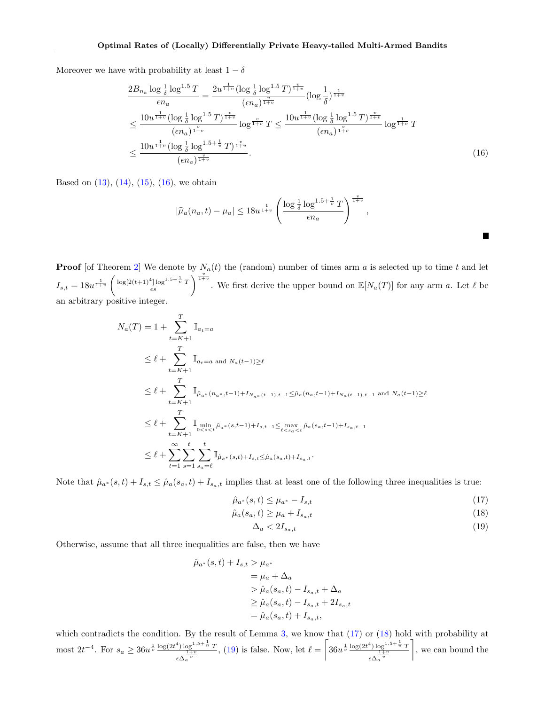Moreover we have with probability at least  $1 - \delta$ 

$$
\frac{2B_{n_a} \log \frac{1}{\delta} \log^{1.5} T}{\epsilon n_a} = \frac{2u^{\frac{1}{1+v}} (\log \frac{1}{\delta} \log^{1.5} T)^{\frac{v}{1+v}}}{(\epsilon n_a)^{\frac{v}{1+v}}} (\log \frac{1}{\delta})^{\frac{1}{1+v}} \n\leq \frac{10u^{\frac{1}{1+v}} (\log \frac{1}{\delta} \log^{1.5} T)^{\frac{v}{1+v}}}{(\epsilon n_a)^{\frac{v}{1+v}}} \log^{\frac{v}{1+v}} T \leq \frac{10u^{\frac{1}{1+v}} (\log \frac{1}{\delta} \log^{1.5} T)^{\frac{v}{1+v}}}{(\epsilon n_a)^{\frac{v}{1+v}}} \log^{\frac{1}{1+v}} T \n\leq \frac{10u^{\frac{1}{1+v}} (\log \frac{1}{\delta} \log^{1.5+\frac{1}{v}} T)^{\frac{v}{1+v}}}{(\epsilon n_a)^{\frac{v}{1+v}}}.
$$
\n(16)

Based on  $(13)$ ,  $(14)$ ,  $(15)$ ,  $(16)$ , we obtain

<span id="page-15-0"></span>
$$
|\widehat{\mu}_a(n_a,t)-\mu_a|\leq 18u^{\frac{1}{1+v}}\left(\frac{\log\frac{1}{\delta}\log^{1.5+\frac{1}{v}}T}{\epsilon n_a}\right)^{\frac{v}{1+v}},
$$

**Proof** [of Theorem [2\]](#page-4-3) We denote by  $N_a(t)$  the (random) number of times arm a is selected up to time t and let  $I_{s,t} = 18u^{\frac{1}{1+v}} \left( \frac{\log[2(t+1)^4] \log^{1.5+\frac{1}{v}} T}{\epsilon s} \right)$  $\frac{L^4 \log^{1.5 + \frac{1}{v}} T}{\epsilon s}$ . We first derive the upper bound on  $\mathbb{E}[N_a(T)]$  for any arm a. Let  $\ell$  be an arbitrary positive integer.

$$
N_a(T) = 1 + \sum_{t=K+1}^T \mathbb{I}_{a_t=a}
$$
  
\n
$$
\leq \ell + \sum_{t=K+1}^T \mathbb{I}_{a_t=a \text{ and } N_a(t-1)\geq \ell}
$$
  
\n
$$
\leq \ell + \sum_{t=K+1}^T \mathbb{I}_{\hat{\mu}_{a^*}(n_{a^*}, t-1)+I_{N_{a^*}(t-1), t-1} \leq \hat{\mu}_a(n_{a}, t-1)+I_{N_a(t-1), t-1} \text{ and } N_a(t-1)\geq \ell}
$$
  
\n
$$
\leq \ell + \sum_{t=K+1}^T \mathbb{I}_{\substack{\text{min} \\ 0 < s < t}} \hat{\mu}_{a^*}(s, t-1)+I_{s, t-1} \leq \max_{t < s_a < t} \hat{\mu}_a(s_a, t-1)+I_{s_a, t-1}
$$
  
\n
$$
\leq \ell + \sum_{t=1}^\infty \sum_{s=1}^t \sum_{s_a=\ell}^t \mathbb{I}_{\hat{\mu}_{a^*}(s, t)+I_{s, t} \leq \hat{\mu}_a(s_a, t)+I_{s_a, t}}.
$$

Note that  $\hat{\mu}_{a^*}(s,t) + I_{s,t} \leq \hat{\mu}_a(s_a,t) + I_{s_a,t}$  implies that at least one of the following three inequalities is true:

$$
\hat{\mu}_{a^*}(s,t) \le \mu_{a^*} - I_{s,t} \tag{17}
$$

$$
\hat{\mu}_a(s_a, t) \ge \mu_a + I_{s_a, t} \tag{18}
$$

<span id="page-15-3"></span><span id="page-15-2"></span><span id="page-15-1"></span>
$$
\Delta_a < 2I_{s_a,t} \tag{19}
$$

Otherwise, assume that all three inequalities are false, then we have

$$
\hat{\mu}_{a^*}(s,t) + I_{s,t} > \mu_{a^*} \n= \mu_a + \Delta_a \n> \hat{\mu}_a(s_a, t) - I_{s_a, t} + \Delta_a \n\ge \hat{\mu}_a(s_a, t) - I_{s_a, t} + 2I_{s_a, t} \n= \hat{\mu}_a(s_a, t) + I_{s_a, t},
$$

which contradicts the condition. By the result of Lemma [3,](#page-4-4) we know that  $(17)$  or  $(18)$  hold with probability at most  $2t^{-4}$ . For  $s_a \geq 36u^{\frac{1}{v}} \frac{\log(2t^4) \log^{1.5 + \frac{1}{v}} T}{\frac{1+v}{v}}$  $\epsilon \Delta_a^{\frac{1+v}{v}}$ , [\(19\)](#page-15-3) is false. Now, let  $\ell = \left[36u^{\frac{1}{v}}\frac{\log(2t^4)\log^{1.5+\frac{1}{v}}T}{1+v}\right]$  $\epsilon \Delta_a^{\frac{1+v}{v}}$ , we can bound the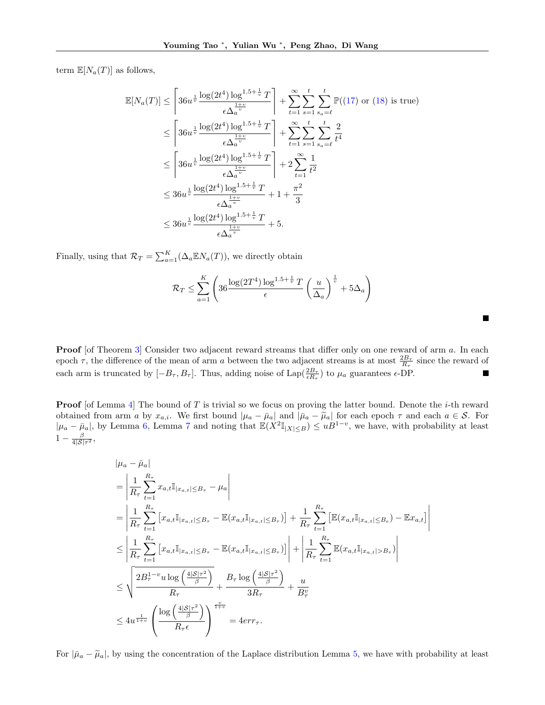term  $\mathbb{E}[N_a(T)]$  as follows,

$$
\mathbb{E}[N_a(T)] \leq \left[ 36u^{\frac{1}{v}} \frac{\log(2t^4) \log^{1.5 + \frac{1}{v}} T}{\epsilon \Delta_a^{\frac{1+v}{v}}} \right] + \sum_{t=1}^{\infty} \sum_{s_a=\ell}^t \sum_{s_a=\ell}^t \mathbb{P}((17) \text{ or } (18) \text{ is true})
$$
\n
$$
\leq \left[ 36u^{\frac{1}{v}} \frac{\log(2t^4) \log^{1.5 + \frac{1}{v}} T}{\epsilon \Delta_a^{\frac{1+v}{v}}} \right] + \sum_{t=1}^{\infty} \sum_{s_a=\ell}^t \frac{t}{t^4}
$$
\n
$$
\leq \left[ 36u^{\frac{1}{v}} \frac{\log(2t^4) \log^{1.5 + \frac{1}{v}} T}{\epsilon \Delta_a^{\frac{1+v}{v}}} \right] + 2 \sum_{t=1}^{\infty} \frac{1}{t^2}
$$
\n
$$
\leq 36u^{\frac{1}{v}} \frac{\log(2t^4) \log^{1.5 + \frac{1}{v}} T}{\epsilon \Delta_a^{\frac{1+v}{v}}} + 1 + \frac{\pi^2}{3}
$$
\n
$$
\leq 36u^{\frac{1}{v}} \frac{\log(2t^4) \log^{1.5 + \frac{1}{v}} T}{\epsilon \Delta_a^{\frac{1+v}{v}}} + 5.
$$

Finally, using that  $\mathcal{R}_T = \sum_{a=1}^K (\Delta_a \mathbb{E} N_a(T))$ , we directly obtain

$$
\mathcal{R}_T \le \sum_{a=1}^K \left( 36 \frac{\log(2T^4) \log^{1.5 + \frac{1}{v}} T}{\epsilon} \left( \frac{u}{\Delta_a} \right)^{\frac{1}{v}} + 5\Delta_a \right)
$$

 $\blacksquare$ 

**Proof** [of Theorem [3\]](#page-4-5) Consider two adjacent reward streams that differ only on one reward of arm a. In each epoch  $\tau$ , the difference of the mean of arm a between the two adjacent streams is at most  $\frac{2B_{\tau}}{R_{\tau}}$  since the reward of each arm is truncated by  $[-B_{\tau}, B_{\tau}]$ . Thus, adding noise of  $\text{Lap}(\frac{2B_{\tau}}{\epsilon R_{\tau}})$  to  $\mu_a$  guarantees  $\epsilon$ -DP.

**Proof** [of Lemma [4\]](#page-5-3) The bound of T is trivial so we focus on proving the latter bound. Denote the *i*-th reward obtained from arm a by  $x_{a,i}$ . We first bound  $|\mu_a - \bar{\mu}_a|$  and  $|\bar{\mu}_a - \tilde{\mu}_a|$  for each epoch  $\tau$  and each  $a \in \mathcal{S}$ . For  $|\mu_a - \bar{\mu}_a|$ , by Lemma [6,](#page-12-4) Lemma [7](#page-12-1) and noting that  $\mathbb{E}(X^2 \mathbb{I}_{|X| \leq B}) \leq uB^{1-v}$ , we ha  $1-\frac{\beta}{4|\mathcal{S}|\tau^2},$ 

$$
|\mu_{a} - \bar{\mu}_{a}|
$$
  
\n
$$
= \left| \frac{1}{R_{\tau}} \sum_{t=1}^{R_{\tau}} x_{a,t} \mathbb{I}_{|x_{a,t}| \leq B_{\tau}} - \mu_{a} \right|
$$
  
\n
$$
= \left| \frac{1}{R_{\tau}} \sum_{t=1}^{R_{\tau}} \left[ x_{a,t} \mathbb{I}_{|x_{a,t}| \leq B_{\tau}} - \mathbb{E} (x_{a,t} \mathbb{I}_{|x_{a,t}| \leq B_{\tau}}) \right] + \frac{1}{R_{\tau}} \sum_{t=1}^{R_{\tau}} \left[ \mathbb{E} (x_{a,t} \mathbb{I}_{|x_{a,t}| \leq B_{\epsilon}}) - \mathbb{E} x_{a,t} \right] \right|
$$
  
\n
$$
\leq \left| \frac{1}{R_{\tau}} \sum_{t=1}^{R_{\tau}} \left[ x_{a,t} \mathbb{I}_{|x_{a,t}| \leq B_{\tau}} - \mathbb{E} (x_{a,t} \mathbb{I}_{|x_{a,t}| \leq B_{\tau}}) \right] \right| + \left| \frac{1}{R_{\tau}} \sum_{t=1}^{R_{\tau}} \mathbb{E} (x_{a,t} \mathbb{I}_{|x_{a,t}| > B_{\tau}}) \right|
$$
  
\n
$$
\leq \sqrt{\frac{2B_{\tau}^{1-v} u \log \left( \frac{4|S|\tau^{2}}{\beta} \right)}{R_{\tau}}} + \frac{B_{\tau} \log \left( \frac{4|S|\tau^{2}}{\beta} \right)}{3R_{\tau}} + \frac{u}{B_{\tau}^{v}}
$$
  
\n
$$
\leq 4u^{\frac{1}{1+v}} \left( \frac{\log \left( \frac{4|S|\tau^{2}}{\beta} \right)}{R_{\tau} \epsilon} \right)^{\frac{v}{1+v}} = 4err_{\tau}.
$$

For  $|\bar{\mu}_a - \tilde{\mu}_a|$ , by using the concentration of the Laplace distribution Lemma [5,](#page-12-3) we have with probability at least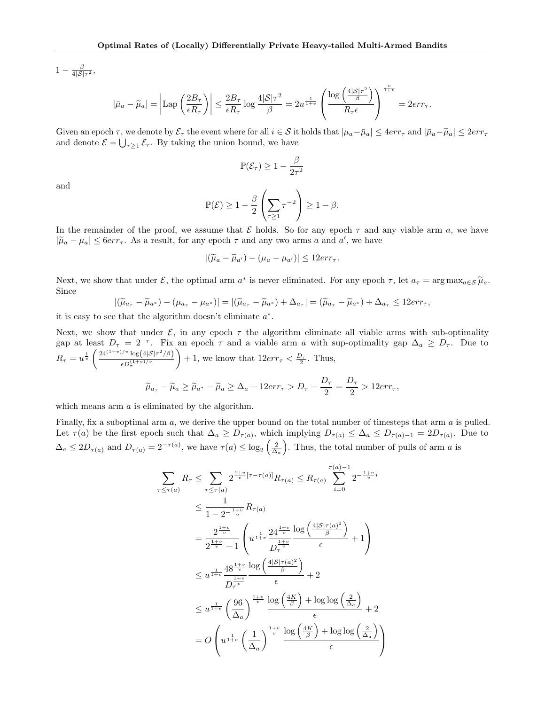$1-\frac{\beta}{4|\mathcal{S}|\tau^2},$ 

$$
|\bar{\mu}_a - \widetilde{\mu}_a| = \left| \mathrm{Lap} \left( \frac{2B_\tau}{\epsilon R_\tau} \right) \right| \leq \frac{2B_\tau}{\epsilon R_\tau} \log \frac{4|\mathcal{S}|\tau^2}{\beta} = 2u^{\frac{1}{1+v}} \left( \frac{\log \left( \frac{4|\mathcal{S}|\tau^2}{\beta} \right)}{R_\tau \epsilon} \right)^{\frac{v}{1+v}} = 2err_\tau.
$$

Given an epoch  $\tau$ , we denote by  $\mathcal{E}_{\tau}$  the event where for all  $i \in \mathcal{S}$  it holds that  $|\mu_a - \bar{\mu}_a| \leq 4er\tau_{\tau}$  and  $|\bar{\mu}_a - \tilde{\mu}_a| \leq 2er\tau_{\tau}$ and denote  $\mathcal{E} = \bigcup_{\tau \geq 1} \mathcal{E}_{\tau}$ . By taking the union bound, we have

$$
\mathbb{P}(\mathcal{E}_{\tau}) \ge 1 - \frac{\beta}{2\tau^2}
$$

and

$$
\mathbb{P}(\mathcal{E}) \ge 1 - \frac{\beta}{2} \left( \sum_{\tau \ge 1} \tau^{-2} \right) \ge 1 - \beta.
$$

In the remainder of the proof, we assume that  $\mathcal E$  holds. So for any epoch  $\tau$  and any viable arm a, we have  $|\tilde{\mu}_a - \mu_a| \leq 6err_{\tau}$ . As a result, for any epoch  $\tau$  and any two arms a and a', we have

$$
|(\widetilde{\mu}_a - \widetilde{\mu}_{a'}) - (\mu_a - \mu_{a'})| \leq 12err_{\tau}.
$$

Next, we show that under  $\mathcal{E}$ , the optimal arm  $a^*$  is never eliminated. For any epoch  $\tau$ , let  $a_{\tau} = \arg \max_{a \in \mathcal{S}} \widetilde{\mu}_a$ . Since

$$
|(\widetilde{\mu}_{a_{\tau}} - \widetilde{\mu}_{a^*}) - (\mu_{a_{\tau}} - \mu_{a^*})| = |(\widetilde{\mu}_{a_{\tau}} - \widetilde{\mu}_{a^*}) + \Delta_{a_{\tau}}| = (\widetilde{\mu}_{a_{\tau}} - \widetilde{\mu}_{a^*}) + \Delta_{a_{\tau}} \le 12err_{\tau},
$$

it is easy to see that the algorithm doesn't eliminate  $a^*$ .

Next, we show that under  $\mathcal{E}$ , in any epoch  $\tau$  the algorithm eliminate all viable arms with sub-optimality gap at least  $D_{\tau} = 2^{-\tau}$ . Fix an epoch  $\tau$  and a viable arm a with sup-optimality gap  $\Delta_a \geq D_{\tau}$ . Due to  $R_{\tau} = u^{\frac{1}{v}} \left( \frac{24^{(1+v)/v} \log(4|\mathcal{S}|\tau^2/\beta)}{D^{(1+v)/v}} \right)$  $\epsilon D_{\tau}^{(1+v)/v}$  $+ 1$ , we know that  $12err<sub>\tau</sub> < \frac{D_{\tau}}{2}$ . Thus,

$$
\widetilde{\mu}_{a_{\tau}} - \widetilde{\mu}_a \ge \widetilde{\mu}_{a^*} - \widetilde{\mu}_a \ge \Delta_a - 12err_{\tau} > D_{\tau} - \frac{D_{\tau}}{2} = \frac{D_{\tau}}{2} > 12err_{\tau},
$$

which means arm a is eliminated by the algorithm.

Finally, fix a suboptimal arm  $a$ , we derive the upper bound on the total number of timesteps that arm  $a$  is pulled. Let  $\tau(a)$  be the first epoch such that  $\Delta_a \geq D_{\tau(a)}$ , which implying  $D_{\tau(a)} \leq \Delta_a \leq D_{\tau(a)-1} = 2D_{\tau(a)}$ . Due to  $\Delta_a \leq 2D_{\tau(a)}$  and  $D_{\tau(a)} = 2^{-\tau(a)}$ , we have  $\tau(a) \leq \log_2\left(\frac{2}{\Delta_a}\right)$ . Thus, the total number of pulls of arm a is

$$
\sum_{\tau \leq \tau(a)} R_{\tau} \leq \sum_{\tau \leq \tau(a)} 2^{\frac{1+v}{v} [\tau - \tau(a)]} R_{\tau(a)} \leq R_{\tau(a)} \sum_{i=0}^{\tau(a)-1} 2^{-\frac{1+v}{v}i}
$$
\n
$$
\leq \frac{1}{1 - 2^{-\frac{1+v}{v}}} R_{\tau(a)}
$$
\n
$$
= \frac{2^{\frac{1+v}{v}}}{2^{\frac{1+v}{v}} - 1} \left( u^{\frac{1}{1+v}} \frac{24^{\frac{1+v}{v}} \log \left( \frac{4|\mathcal{S}|\tau(a)^{2}}{\beta} \right)}{D_{\tau}^{\frac{1+v}{v}}} + 1 \right)
$$
\n
$$
\leq u^{\frac{1}{1+v}} \frac{48^{\frac{1+v}{v}} \log \left( \frac{4|\mathcal{S}|\tau(a)^{2}}{\beta} \right)}{D_{\tau}^{\frac{1+v}{v}}} + 2
$$
\n
$$
\leq u^{\frac{1}{1+v}} \left( \frac{96}{\Delta_{a}} \right)^{\frac{1+v}{v}} \frac{\log \left( \frac{4K}{\beta} \right) + \log \log \left( \frac{2}{\Delta_{a}} \right)}{\epsilon} + 2
$$
\n
$$
= O \left( u^{\frac{1}{1+v}} \left( \frac{1}{\Delta_{a}} \right)^{\frac{1+v}{v}} \frac{\log \left( \frac{4K}{\beta} \right) + \log \log \left( \frac{2}{\Delta_{a}} \right)}{\epsilon} \right)
$$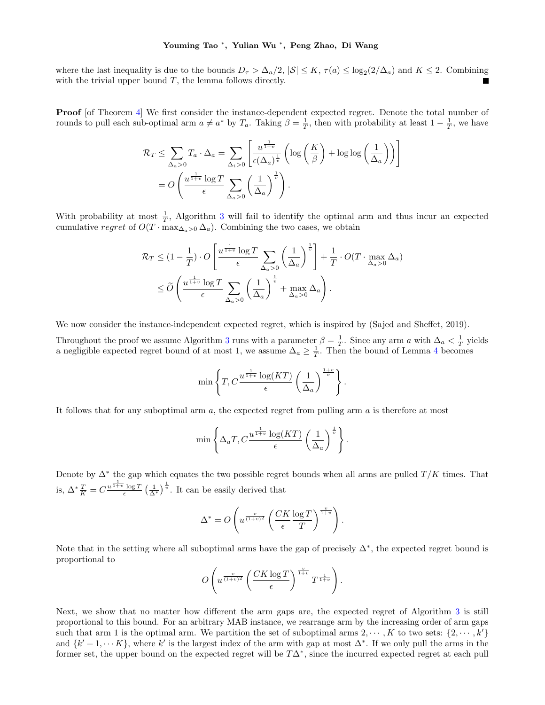where the last inequality is due to the bounds  $D_{\tau} > \Delta_a/2$ ,  $|S| \leq K$ ,  $\tau(a) \leq \log_2(2/\Delta_a)$  and  $K \leq 2$ . Combining with the trivial upper bound  $T$ , the lemma follows directly.

**Proof** [of Theorem [4\]](#page-5-1) We first consider the instance-dependent expected regret. Denote the total number of rounds to pull each sub-optimal arm  $a \neq a^*$  by  $T_a$ . Taking  $\beta = \frac{1}{T}$ , then with probability at least  $1 - \frac{1}{T}$ , we have

$$
\mathcal{R}_T \leq \sum_{\Delta_a > 0} T_a \cdot \Delta_a = \sum_{\Delta_i > 0} \left[ \frac{u^{\frac{1}{1+v}}}{\epsilon(\Delta_a)^{\frac{1}{v}}} \left( \log \left( \frac{K}{\beta} \right) + \log \log \left( \frac{1}{\Delta_a} \right) \right) \right]
$$
  
= 
$$
O\left( \frac{u^{\frac{1}{1+v}} \log T}{\epsilon} \sum_{\Delta_a > 0} \left( \frac{1}{\Delta_a} \right)^{\frac{1}{v}} \right).
$$

With probability at most  $\frac{1}{T}$ , Algorithm [3](#page-5-0) will fail to identify the optimal arm and thus incur an expected cumulative regret of  $O(T \cdot \max_{\Delta_a > 0} \Delta_a)$ . Combining the two cases, we obtain

$$
\mathcal{R}_T \leq (1 - \frac{1}{T}) \cdot O\left[\frac{u^{\frac{1}{1+v}} \log T}{\epsilon} \sum_{\Delta_a > 0} \left(\frac{1}{\Delta_a}\right)^{\frac{1}{v}}\right] + \frac{1}{T} \cdot O(T \cdot \max_{\Delta_a > 0} \Delta_a)
$$
  

$$
\leq \widetilde{O}\left(\frac{u^{\frac{1}{1+v}} \log T}{\epsilon} \sum_{\Delta_a > 0} \left(\frac{1}{\Delta_a}\right)^{\frac{1}{v}} + \max_{\Delta_a > 0} \Delta_a\right).
$$

We now consider the instance-independent expected regret, which is inspired by [\(Sajed and Sheffet,](#page-10-7) [2019\)](#page-10-7).

Throughout the proof we assume Algorithm [3](#page-5-0) runs with a parameter  $\beta = \frac{1}{T}$ . Since any arm a with  $\Delta_a < \frac{1}{T}$  yields a negligible expected regret bound of at most 1, we assume  $\Delta_a \geq \frac{1}{T}$ . Then the bound of Lemma [4](#page-5-3) becomes

$$
\min\left\{T, C^{\frac{u^{\frac{1}{1+v}}\log(KT)}{\epsilon}}\left(\frac{1}{\Delta_a}\right)^{\frac{1+v}{v}}\right\}.
$$

It follows that for any suboptimal arm  $a$ , the expected regret from pulling arm  $a$  is therefore at most

$$
\min\left\{\Delta_a T, C^{\frac{1}{1+v}} \frac{\log(KT)}{\epsilon} \left(\frac{1}{\Delta_a}\right)^{\frac{1}{v}}\right\}.
$$

Denote by  $\Delta^*$  the gap which equates the two possible regret bounds when all arms are pulled  $T/K$  times. That is,  $\Delta^* \frac{T}{K} = C \frac{u^{\frac{1}{1+v}} \log T}{\epsilon} \left(\frac{1}{\Delta^*}\right)^{\frac{1}{v}}$ . It can be easily derived that

$$
\Delta^* = O\left(u^{\frac{v}{(1+v)^2}} \left(\frac{CK}{\epsilon} \frac{\log T}{T}\right)^{\frac{v}{1+v}}\right).
$$

Note that in the setting where all suboptimal arms have the gap of precisely  $\Delta^*$ , the expected regret bound is proportional to

$$
O\left(u^{\frac{v}{(1+v)^2}}\left(\frac{CK\log T}{\epsilon}\right)^{\frac{v}{1+v}}T^{\frac{1}{1+v}}\right).
$$

Next, we show that no matter how different the arm gaps are, the expected regret of Algorithm [3](#page-5-0) is still proportional to this bound. For an arbitrary MAB instance, we rearrange arm by the increasing order of arm gaps such that arm 1 is the optimal arm. We partition the set of suboptimal arms  $2, \dots, K$  to two sets:  $\{2, \dots, k'\}$ and  $\{k' + 1, \dots, K\}$ , where k' is the largest index of the arm with gap at most  $\Delta^*$ . If we only pull the arms in the former set, the upper bound on the expected regret will be  $T\Delta^*$ , since the incurred expected regret at each pull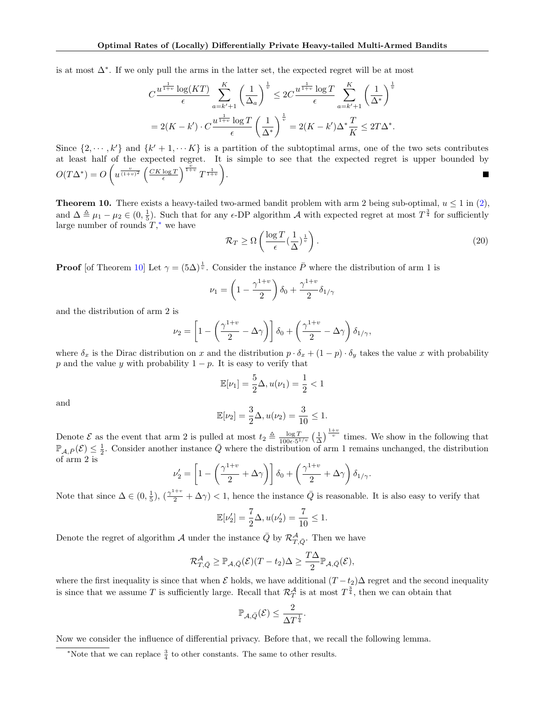is at most  $\Delta^*$ . If we only pull the arms in the latter set, the expected regret will be at most

$$
C \frac{u^{\frac{1}{1+v}} \log(KT)}{\epsilon} \sum_{a=k'+1}^K \left(\frac{1}{\Delta_a}\right)^{\frac{1}{v}} \leq 2C \frac{u^{\frac{1}{1+v}} \log T}{\epsilon} \sum_{a=k'+1}^K \left(\frac{1}{\Delta^*}\right)^{\frac{1}{v}}
$$

$$
= 2(K - k') \cdot C \frac{u^{\frac{1}{1+v}} \log T}{\epsilon} \left(\frac{1}{\Delta^*}\right)^{\frac{1}{v}} = 2(K - k') \Delta^* \frac{T}{K} \leq 2T\Delta^*.
$$

Since  $\{2, \dots, k'\}$  and  $\{k' + 1, \dots K\}$  is a partition of the subtoptimal arms, one of the two sets contributes at least half of the expected regret. It is simple to see that the expected regret is upper bounded by  $O(T \Delta^*) = O\left(u^{\frac{v}{(1+v)^2}}\left(\frac{CK\log T}{\epsilon}\right)^{\frac{v}{1+v}}T^{\frac{1}{1+v}}\right).$ ٠

<span id="page-19-0"></span>**Theorem 10.** There exists a heavy-tailed two-armed bandit problem with arm 2 being sub-optimal,  $u \le 1$  in [\(2\)](#page-2-1), and  $\Delta \triangleq \mu_1 - \mu_2 \in (0, \frac{1}{5})$ . Such that for any  $\epsilon$ -DP algorithm A with expected regret at most  $T^{\frac{3}{4}}$  for sufficiently large number of rounds  $T$ ,\* we have

$$
\mathcal{R}_T \ge \Omega \left( \frac{\log T}{\epsilon} \left( \frac{1}{\Delta} \right)^{\frac{1}{v}} \right). \tag{20}
$$

**Proof** [of Theorem [10\]](#page-19-0) Let  $\gamma = (5\Delta)^{\frac{1}{v}}$ . Consider the instance  $\overline{P}$  where the distribution of arm 1 is

$$
\nu_1 = \left(1 - \frac{\gamma^{1+v}}{2}\right)\delta_0 + \frac{\gamma^{1+v}}{2}\delta_{1/\gamma}
$$

and the distribution of arm 2 is

$$
\nu_2 = \left[1 - \left(\frac{\gamma^{1+v}}{2} - \Delta\gamma\right)\right]\delta_0 + \left(\frac{\gamma^{1+v}}{2} - \Delta\gamma\right)\delta_{1/\gamma},
$$

where  $\delta_x$  is the Dirac distribution on x and the distribution  $p \cdot \delta_x + (1 - p) \cdot \delta_y$  takes the value x with probability p and the value y with probability  $1 - p$ . It is easy to verify that

$$
\mathbb{E}[\nu_1] = \frac{5}{2}\Delta, u(\nu_1) = \frac{1}{2} < 1
$$

and

$$
\mathbb{E}[\nu_2] = \frac{3}{2}\Delta, u(\nu_2) = \frac{3}{10} \le 1.
$$

Denote  $\mathcal E$  as the event that arm 2 is pulled at most  $t_2 \triangleq \frac{\log T}{100\epsilon, 51}$  $\frac{\log T}{100\epsilon \cdot 5^{1/v}}$  ( $\frac{1}{\Delta}$ )<sup> $\frac{1+v}{v}$ </sup> times. We show in the following that  $\mathbb{P}_{\mathcal{A},\bar{P}}(\mathcal{E}) \leq \frac{1}{2}$ . Consider another instance  $\bar{Q}$  where the distribution of arm 1 remains unchanged, the distribution of arm 2 is

$$
\nu_2' = \left[1 - \left(\frac{\gamma^{1+v}}{2} + \Delta\gamma\right)\right]\delta_0 + \left(\frac{\gamma^{1+v}}{2} + \Delta\gamma\right)\delta_{1/\gamma}.
$$

Note that since  $\Delta \in (0, \frac{1}{5})$ ,  $(\frac{\gamma^{1+v}}{2} + \Delta \gamma) < 1$ , hence the instance  $\overline{Q}$  is reasonable. It is also easy to verify that

$$
\mathbb{E}[\nu_2'] = \frac{7}{2}\Delta, u(\nu_2') = \frac{7}{10} \le 1.
$$

Denote the regret of algorithm  $\mathcal A$  under the instance  $\bar Q$  by  $\mathcal{R}^{\mathcal A}_{T,\bar Q}$ . Then we have

$$
\mathcal{R}^{\mathcal{A}}_{T,\bar{Q}} \geq \mathbb{P}_{\mathcal{A},\bar{Q}}(\mathcal{E})(T-t_2)\Delta \geq \frac{T\Delta}{2} \mathbb{P}_{\mathcal{A},\bar{Q}}(\mathcal{E}),
$$

where the first inequality is since that when  $\mathcal E$  holds, we have additional  $(T-t_2)\Delta$  regret and the second inequality is since that we assume T is sufficiently large. Recall that  $\mathcal{R}^{\mathcal{A}}_T$  is at most  $T^{\frac{3}{4}}$ , then we can obtain that

$$
\mathbb{P}_{\mathcal{A},\bar{Q}}(\mathcal{E}) \leq \frac{2}{\Delta T^{\frac{1}{4}}}.
$$

Now we consider the influence of differential privacy. Before that, we recall the following lemma.

<span id="page-19-1"></span><sup>\*</sup>Note that we can replace  $\frac{3}{4}$  to other constants. The same to other results.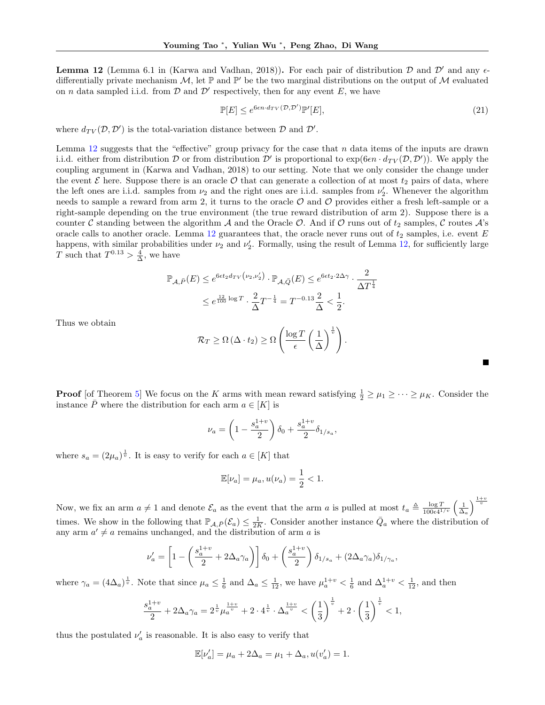<span id="page-20-0"></span>**Lemma 12** (Lemma 6.1 in [\(Karwa and Vadhan,](#page-10-21) [2018\)](#page-10-21)). For each pair of distribution  $\mathcal{D}$  and  $\mathcal{D}'$  and any  $\epsilon$ differentially private mechanism  $M$ , let  $\mathbb P$  and  $\mathbb P'$  be the two marginal distributions on the output of M evaluated on *n* data sampled i.i.d. from  $D$  and  $D'$  respectively, then for any event  $E$ , we have

$$
\mathbb{P}[E] \le e^{6\epsilon n \cdot d_{TV}(\mathcal{D}, \mathcal{D}')} \mathbb{P}'[E],\tag{21}
$$

.

,

where  $d_{TV}(\mathcal{D}, \mathcal{D}')$  is the total-variation distance between  $\mathcal D$  and  $\mathcal D'$ .

Lemma [12](#page-20-0) suggests that the "effective" group privacy for the case that  $n$  data items of the inputs are drawn i.i.d. either from distribution  $D$  or from distribution  $D'$  is proportional to  $exp(6\epsilon n \cdot d_{TV}(D, D'))$ . We apply the coupling argument in [\(Karwa and Vadhan,](#page-10-21) [2018\)](#page-10-21) to our setting. Note that we only consider the change under the event  $\mathcal E$  here. Suppose there is an oracle  $\mathcal O$  that can generate a collection of at most  $t_2$  pairs of data, where the left ones are i.i.d. samples from  $\nu_2$  and the right ones are i.i.d. samples from  $\nu_2'$ . Whenever the algorithm needs to sample a reward from arm 2, it turns to the oracle  $\mathcal O$  and  $\mathcal O$  provides either a fresh left-sample or a right-sample depending on the true environment (the true reward distribution of arm 2). Suppose there is a counter C standing between the algorithm A and the Oracle O. And if O runs out of  $t_2$  samples, C routes  $\mathcal{A}$ 's oracle calls to another oracle. Lemma [12](#page-20-0) guarantees that, the oracle never runs out of  $t_2$  samples, i.e. event  $E$ happens, with similar probabilities under  $\nu_2$  and  $\nu_2'$ . Formally, using the result of Lemma [12,](#page-20-0) for sufficiently large T such that  $T^{0.13} > \frac{4}{\Delta}$ , we have

$$
\mathbb{P}_{\mathcal{A}, \bar{P}}(E) \le e^{6\epsilon t_2 d_{TV}(\nu_2, \nu_2')} \cdot \mathbb{P}_{\mathcal{A}, \bar{Q}}(E) \le e^{6\epsilon t_2 \cdot 2\Delta \gamma} \cdot \frac{2}{\Delta T^{\frac{1}{4}}} \le e^{\frac{12}{100} \log T} \cdot \frac{2}{\Delta} T^{-\frac{1}{4}} = T^{-0.13} \frac{2}{\Delta} < \frac{1}{2}.
$$

Thus we obtain

$$
\mathcal{R}_T \ge \Omega\left(\Delta \cdot t_2\right) \ge \Omega\left(\frac{\log T}{\epsilon} \left(\frac{1}{\Delta}\right)^{\frac{1}{v}}\right)
$$

**Proof** [of Theorem [5\]](#page-5-2) We focus on the K arms with mean reward satisfying  $\frac{1}{2} \geq \mu_1 \geq \cdots \geq \mu_K$ . Consider the instance  $\overline{P}$  where the distribution for each arm  $a \in [K]$  is

$$
\nu_a = \left(1 - \frac{s_a^{1+v}}{2}\right)\delta_0 + \frac{s_a^{1+v}}{2}\delta_{1/s_a},
$$

where  $s_a = (2\mu_a)^{\frac{1}{v}}$ . It is easy to verify for each  $a \in [K]$  that

$$
\mathbb{E}[\nu_a] = \mu_a, u(\nu_a) = \frac{1}{2} < 1.
$$

Now, we fix an arm  $a \neq 1$  and denote  $\mathcal{E}_a$  as the event that the arm a is pulled at most  $t_a \triangleq \frac{\log T}{100\epsilon^{4}}$  $\frac{\log T}{100\epsilon 4^{1/v}}\left(\frac{1}{\Delta_a}\right)^{\frac{1+v}{v}}$ times. We show in the following that  $\mathbb{P}_{\mathcal{A},\bar{P}}(\mathcal{E}_a) \leq \frac{1}{2K}$ . Consider another instance  $\bar{Q}_a$  where the distribution of any arm  $a' \neq a$  remains unchanged, and the distribution of arm a is

$$
\nu_a' = \left[1 - \left(\frac{s_a^{1+v}}{2} + 2\Delta_a\gamma_a\right)\right]\delta_0 + \left(\frac{s_a^{1+v}}{2}\right)\delta_{1/s_a} + (2\Delta_a\gamma_a)\delta_{1/\gamma_a}
$$

where  $\gamma_a = (4\Delta_a)^{\frac{1}{v}}$ . Note that since  $\mu_a \leq \frac{1}{6}$  and  $\Delta_a \leq \frac{1}{12}$ , we have  $\mu_a^{1+v} < \frac{1}{6}$  and  $\Delta_a^{1+v} < \frac{1}{12}$ , and then

$$
\frac{s_a^{1+v}}{2} + 2\Delta_a \gamma_a = 2^{\frac{1}{v}} \mu_a^{\frac{1+v}{v}} + 2 \cdot 4^{\frac{1}{v}} \cdot \Delta_a^{\frac{1+v}{v}} < \left(\frac{1}{3}\right)^{\frac{1}{v}} + 2 \cdot \left(\frac{1}{3}\right)^{\frac{1}{v}} < 1,
$$

thus the postulated  $\nu_a'$  is reasonable. It is also easy to verify that

$$
\mathbb{E}[\nu_a'] = \mu_a + 2\Delta_a = \mu_1 + \Delta_a, u(v_a') = 1.
$$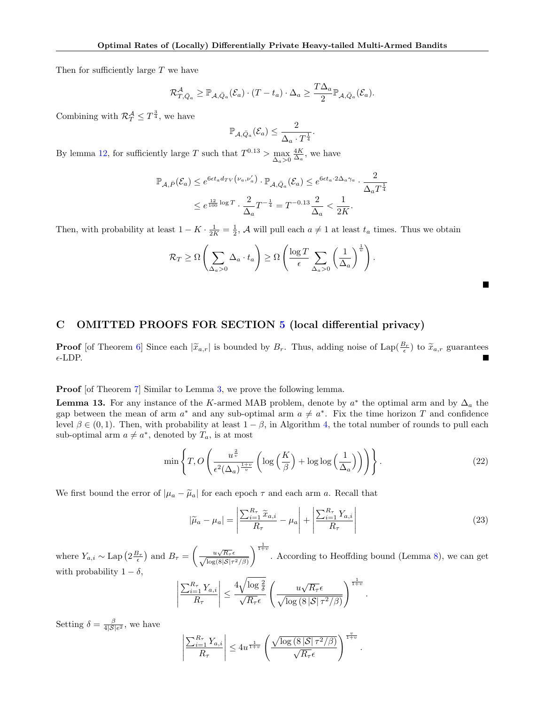Then for sufficiently large T we have

$$
\mathcal{R}^{\mathcal{A}}_{T,\bar{Q}_a}\geq \mathbb{P}_{\mathcal{A},\bar{Q}_a}(\mathcal{E}_a)\cdot (T-t_a)\cdot \Delta_a\geq \frac{T\Delta_a}{2}\mathbb{P}_{\mathcal{A},\bar{Q}_a}(\mathcal{E}_a).
$$

Combining with  $\mathcal{R}_T^{\mathcal{A}} \leq T^{\frac{3}{4}}$ , we have

$$
\mathbb{P}_{\mathcal{A},\bar{Q}_a}(\mathcal{E}_a) \leq \frac{2}{\Delta_a \cdot T^{\frac{1}{4}}}.
$$

By lemma [12,](#page-20-0) for sufficiently large T such that  $T^{0.13} > \max_{\Delta_a > 0}$  $\frac{4K}{\Delta_a}$ , we have

$$
\mathbb{P}_{\mathcal{A},\bar{P}}(\mathcal{E}_a) \le e^{6\epsilon t_a d_{TV}\left(\nu_a,\nu_a'\right)} \cdot \mathbb{P}_{\mathcal{A},\bar{Q}_a}(\mathcal{E}_a) \le e^{6\epsilon t_a \cdot 2\Delta_a \gamma_a} \cdot \frac{2}{\Delta_a T^{\frac{1}{4}}}
$$

$$
\le e^{\frac{12}{100}\log T} \cdot \frac{2}{\Delta_a} T^{-\frac{1}{4}} = T^{-0.13} \frac{2}{\Delta_a} < \frac{1}{2K}.
$$

Then, with probability at least  $1 - K \cdot \frac{1}{2K} = \frac{1}{2}$ , A will pull each  $a \neq 1$  at least  $t_a$  times. Thus we obtain

$$
\mathcal{R}_T \ge \Omega \left( \sum_{\Delta_a > 0} \Delta_a \cdot t_a \right) \ge \Omega \left( \frac{\log T}{\epsilon} \sum_{\Delta_a > 0} \left( \frac{1}{\Delta_a} \right)^{\frac{1}{v}} \right).
$$

## <span id="page-21-0"></span>C OMITTED PROOFS FOR SECTION [5](#page-6-0) (local differential privacy)

**Proof** [of Theorem [6\]](#page-6-4) Since each  $|\tilde{x}_{a,r}|$  is bounded by  $B_r$ . Thus, adding noise of Lap $(\frac{B_r}{\epsilon})$  to  $\tilde{x}_{a,r}$  guarantees  $\epsilon$ -LDP.

Proof [of Theorem [7\]](#page-6-1) Similar to Lemma [3,](#page-4-4) we prove the following lemma.

**Lemma 13.** For any instance of the K-armed MAB problem, denote by  $a^*$  the optimal arm and by  $\Delta_a$  the gap between the mean of arm  $a^*$  and any sub-optimal arm  $a \neq a^*$ . Fix the time horizon T and confidence level  $\beta \in (0,1)$ . Then, with probability at least  $1 - \beta$ , in Algorithm [4,](#page-7-0) the total number of rounds to pull each sub-optimal arm  $a \neq a^*$ , denoted by  $T_a$ , is at most

$$
\min\left\{T, O\left(\frac{u^{\frac{2}{v}}}{\epsilon^2 (\Delta_a)^{\frac{1+v}{v}}} \left(\log\left(\frac{K}{\beta}\right) + \log\log\left(\frac{1}{\Delta_a}\right)\right)\right)\right\}.
$$
\n(22)

We first bound the error of  $|\mu_a - \tilde{\mu}_a|$  for each epoch  $\tau$  and each arm a. Recall that

<span id="page-21-1"></span>
$$
|\widetilde{\mu}_a - \mu_a| = \left| \frac{\sum_{i=1}^{R_{\tau}} \widetilde{x}_{a,i}}{R_{\tau}} - \mu_a \right| + \left| \frac{\sum_{i=1}^{R_{\tau}} Y_{a,i}}{R_{\tau}} \right| \tag{23}
$$

.

П

where  $Y_{a,i} \sim \text{Lap}\left(2\frac{B_{\tau}}{\epsilon}\right)$  and  $B_{\tau} = \left(\frac{u\sqrt{R_{\tau}}\epsilon}{\sqrt{\log(R_{\tau})S_{\tau}}}\right)$  $\log(8|\mathcal{S}|\tau^2/\beta)$  $\int_{1+v}^{\frac{1}{1+v}}$ . According to Heoffding bound (Lemma [8\)](#page-12-5), we can get with probability  $1 - \delta$ ,

$$
\left| \frac{\sum_{i=1}^{R_{\tau}} Y_{a,i}}{R_{\tau}} \right| \leq \frac{4\sqrt{\log \frac{2}{\delta}}}{\sqrt{R_{\tau}} \epsilon} \left( \frac{u\sqrt{R_{\tau}}\epsilon}{\sqrt{\log (8|\mathcal{S}| \tau^2/\beta)}} \right)^{\frac{1}{1+v}}
$$

Setting  $\delta = \frac{\beta}{4|\mathcal{S}|e^2}$ , we have

$$
\left|\frac{\sum_{i=1}^{R_{\tau}}Y_{a,i}}{R_{\tau}}\right| \leq 4u^{\frac{1}{1+v}}\left(\frac{\sqrt{\log\left(8\left|\mathcal{S}\right|\tau^2/\beta\right)}}{\sqrt{R_{\tau}}\epsilon}\right)^{\frac{v}{1+v}}.
$$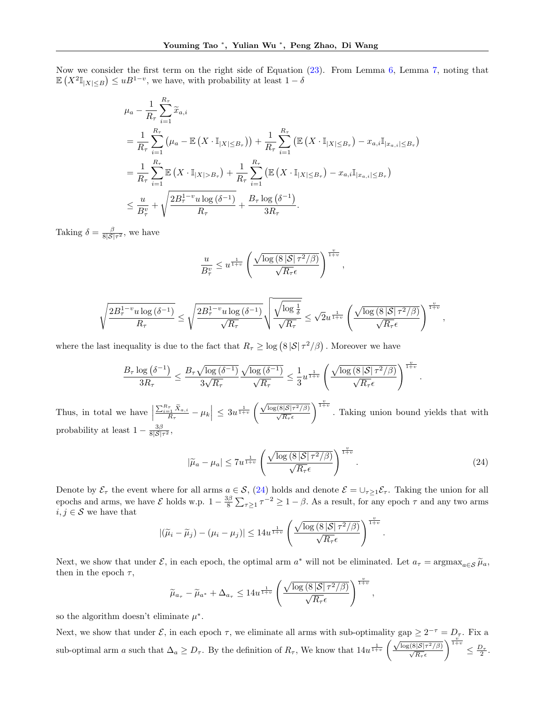Now we consider the first term on the right side of Equation [\(23\)](#page-21-1). From Lemma [6,](#page-12-4) Lemma [7,](#page-12-1) noting that  $\mathbb{E}\left(X^2\mathbb{I}_{|X|\leq B}\right) \leq uB^{1-v}$ , we have, with probability at least  $1-\delta$ 

<span id="page-22-0"></span>
$$
\mu_{a} - \frac{1}{R_{\tau}} \sum_{i=1}^{R_{\tau}} \widetilde{x}_{a,i}
$$
\n
$$
= \frac{1}{R_{\tau}} \sum_{i=1}^{R_{\tau}} \left( \mu_{a} - \mathbb{E}\left(X \cdot \mathbb{I}_{|X| \leq B_{\tau}}\right) \right) + \frac{1}{R_{\tau}} \sum_{i=1}^{R_{\tau}} \left( \mathbb{E}\left(X \cdot \mathbb{I}_{|X| \leq B_{\tau}}\right) - x_{a,i} \mathbb{I}_{|x_{a,i}| \leq B_{\tau}} \right)
$$
\n
$$
= \frac{1}{R_{\tau}} \sum_{i=1}^{R_{\tau}} \mathbb{E}\left(X \cdot \mathbb{I}_{|X| > B_{\tau}}\right) + \frac{1}{R_{\tau}} \sum_{i=1}^{R_{\tau}} \left( \mathbb{E}\left(X \cdot \mathbb{I}_{|X| \leq B_{\tau}}\right) - x_{a,i} \mathbb{I}_{|x_{a,i}| \leq B_{\tau}} \right)
$$
\n
$$
\leq \frac{u}{B_{\tau}^{v}} + \sqrt{\frac{2B_{\tau}^{1-v} u \log\left(\delta^{-1}\right)}{R_{\tau}}} + \frac{B_{\tau} \log\left(\delta^{-1}\right)}{3R_{\tau}}.
$$

Taking  $\delta = \frac{\beta}{8|\mathcal{S}|\tau^2}$ , we have

$$
\frac{u}{B_{\tau}^v} \leq u^{\frac{1}{1+v}} \left( \frac{\sqrt{\log (8 |\mathcal{S}| \tau^2/\beta)}}{\sqrt{R_{\tau}} \epsilon} \right)^{\frac{v}{1+v}},
$$

$$
\sqrt{\frac{2 B_\tau^{1-v} u \log\left(\delta^{-1}\right)}{R_\tau}} \leq \sqrt{\frac{2 B_\tau^{1-v} u \log\left(\delta^{-1}\right)}{\sqrt{R_\tau}}} \sqrt{\frac{\sqrt{\log \frac{1}{\delta}}}{\sqrt{R_\tau}}} \leq \sqrt{2} u^{\frac{1}{1+v}} \left(\frac{\sqrt{\log\left(8 \left|\mathcal{S}\right|\tau^2/\beta\right)}}{\sqrt{R_\tau}\epsilon}\right)^{\frac{v}{1+v}},
$$

where the last inequality is due to the fact that  $R_{\tau} \geq \log \left( 8 |\mathcal{S}| \tau^2 / \beta \right)$ . Moreover we have

$$
\frac{B_{\tau}\log\left(\delta^{-1}\right)}{3R_{\tau}} \le \frac{B_{\tau}\sqrt{\log\left(\delta^{-1}\right)}}{3\sqrt{R_{\tau}}}\frac{\sqrt{\log\left(\delta^{-1}\right)}}{\sqrt{R_{\tau}}}\le \frac{1}{3}u^{\frac{1}{1+v}}\left(\frac{\sqrt{\log\left(8\left|\mathcal{S}\right|\tau^{2}/\beta\right)}}{\sqrt{R_{\tau}}\epsilon}\right)^{\frac{v}{1+v}}
$$

Thus, in total we have  $\vert$  $\frac{\sum_{i=1}^{R_{\tau}} \tilde{X}_{a,i}}{R_{\tau}} - \mu_k \Big| \leq 3 u^{\frac{1}{1+v}} \left( \frac{\sqrt{\log(8|\mathcal{S}| \tau^2/\beta)}}{\sqrt{R_{\tau}} \epsilon} \right)$  $\int_{0}^{\frac{v}{1+v}}$ . Taking union bound yields that with probability at least  $1 - \frac{3\beta}{8|\mathcal{S}|\tau^2}$ ,

$$
|\widetilde{\mu}_a - \mu_a| \le 7u^{\frac{1}{1+v}} \left( \frac{\sqrt{\log \left( 8|\mathcal{S}| \tau^2/\beta \right)}}{\sqrt{R_\tau} \epsilon} \right)^{\frac{v}{1+v}}.
$$
\n(24)

.

.

Denote by  $\mathcal{E}_{\tau}$  the event where for all arms  $a \in \mathcal{S}$ , [\(24\)](#page-22-0) holds and denote  $\mathcal{E} = \bigcup_{\tau \geq 1} \mathcal{E}_{\tau}$ . Taking the union for all epochs and arms, we have  $\mathcal E$  holds w.p.  $1-\frac{3\beta}{8}\sum_{\tau\geq 1}\tau^{-2}\geq 1-\beta$ . As a result, for any epoch  $\tau$  and any two arms  $i,j \in \mathcal{S}$  we have that

$$
|(\widetilde{\mu}_i - \widetilde{\mu}_j) - (\mu_i - \mu_j)| \le 14u^{\frac{1}{1+v}} \left( \frac{\sqrt{\log (8|\mathcal{S}| \tau^2/\beta)}}{\sqrt{R_{\tau}} \epsilon} \right)^{\frac{v}{1+v}}
$$

Next, we show that under  $\mathcal{E}$ , in each epoch, the optimal arm  $a^*$  will not be eliminated. Let  $a_{\tau} = \argmax_{a \in \mathcal{S}} \tilde{\mu}_a$ , then in the epoch  $\tau$ ,

$$
\widetilde{\mu}_{a_{\tau}} - \widetilde{\mu}_{a^*} + \Delta_{a_{\tau}} \leq 14u^{\frac{1}{1+v}} \left( \frac{\sqrt{\log (8|\mathcal{S}| \tau^2/\beta)}}{\sqrt{R_{\tau}} \epsilon} \right)^{\frac{v}{1+v}},
$$

so the algorithm doesn't eliminate  $\mu^*$ .

Next, we show that under  $\mathcal{E}$ , in each epoch  $\tau$ , we eliminate all arms with sub-optimality gap  $\geq 2^{-\tau} = D_{\tau}$ . Fix a sub-optimal arm a such that  $\Delta_a \geq D_\tau$ . By the definition of  $R_\tau$ , We know that  $14u^{\frac{1}{1+v}}\left(\frac{\sqrt{\log(8|\mathcal{S}| \tau^2/\beta)}}{\sqrt{R_\tau}\epsilon}\right)$  $\Big)^{\frac{v}{1+v}} \leq \frac{D_{\tau}}{2}.$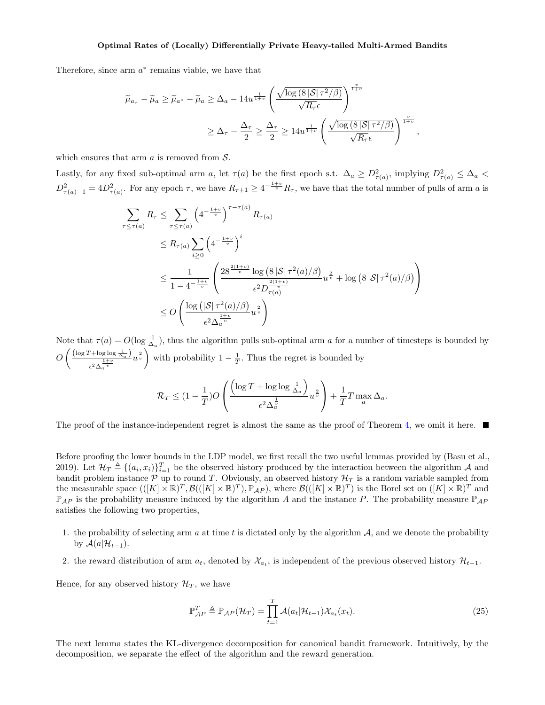Therefore, since arm  $a^*$  remains viable, we have that

$$
\widetilde{\mu}_{a_{\tau}} - \widetilde{\mu}_{a} \ge \widetilde{\mu}_{a^{*}} - \widetilde{\mu}_{a} \ge \Delta_{a} - 14u^{\frac{1}{1+v}} \left( \frac{\sqrt{\log (8 |\mathcal{S}| \tau^{2}/\beta)}}{\sqrt{R_{\tau}} \epsilon} \right)^{\frac{v}{1+v}}
$$
  

$$
\ge \Delta_{\tau} - \frac{\Delta_{\tau}}{2} \ge \frac{\Delta_{\tau}}{2} \ge 14u^{\frac{1}{1+v}} \left( \frac{\sqrt{\log (8 |\mathcal{S}| \tau^{2}/\beta)}}{\sqrt{R_{\tau}} \epsilon} \right)^{\frac{v}{1+v}},
$$

which ensures that arm  $a$  is removed from  $S$ .

Lastly, for any fixed sub-optimal arm a, let  $\tau(a)$  be the first epoch s.t.  $\Delta_a \geq D_{\tau(a)}^2$ , implying  $D_{\tau(a)}^2 \leq \Delta_a$  $D_{\tau(a)-1}^2 = 4D_{\tau(a)}^2$ . For any epoch  $\tau$ , we have  $R_{\tau+1} \geq 4^{-\frac{1+v}{v}} R_{\tau}$ , we have that the total number of pulls of arm a is

<span id="page-23-0"></span>
$$
\sum_{\tau \leq \tau(a)} R_{\tau} \leq \sum_{\tau \leq \tau(a)} \left( 4^{-\frac{1+v}{v}} \right)^{\tau-\tau(a)} R_{\tau(a)}
$$
\n
$$
\leq R_{\tau(a)} \sum_{i \geq 0} \left( 4^{-\frac{1+v}{v}} \right)^i
$$
\n
$$
\leq \frac{1}{1 - 4^{-\frac{1+v}{v}}} \left( \frac{28^{\frac{2(1+v)}{v}} \log \left( 8|\mathcal{S}| \tau^2(a)/\beta \right)}{\epsilon^2 D_{\tau(a)}^{\frac{2(1+v)}{v}}} u^{\frac{2}{v}} + \log \left( 8|\mathcal{S}| \tau^2(a)/\beta \right) \right)
$$
\n
$$
\leq O \left( \frac{\log \left( |\mathcal{S}| \tau^2(a)/\beta \right)}{\epsilon^2 \Delta_a^{\frac{1+v}{v}}} u^{\frac{2}{v}} \right)
$$

Note that  $\tau(a) = O(\log \frac{1}{\Delta_a})$ , thus the algorithm pulls sub-optimal arm a for a number of timesteps is bounded by  $O\left(\frac{\left(\log T + \log \log \frac{1}{\Delta_a}\right)}{1+v}\right)$  $\epsilon^2 \Delta_a^{\frac{1+v}{v}}$  $u^{\frac{2}{v}}$  with probability  $1-\frac{1}{T}$ . Thus the regret is bounded by

$$
\mathcal{R}_T \leq (1 - \frac{1}{T})O\left(\frac{\left(\log T + \log \log \frac{1}{\Delta_a}\right)}{\epsilon^2 \Delta_a^{\frac{1}{v}}} u^{\frac{2}{v}}\right) + \frac{1}{T}T \max_a \Delta_a.
$$

The proof of the instance-independent regret is almost the same as the proof of Theorem [4,](#page-5-1) we omit it here.

Before proofing the lower bounds in the LDP model, we first recall the two useful lemmas provided by [\(Basu et al.,](#page-9-7) [2019\)](#page-9-7). Let  $\mathcal{H}_T \triangleq \{(a_i, x_i)\}_{i=1}^T$  be the observed history produced by the interaction between the algorithm A and bandit problem instance  $P$  up to round T. Obviously, an observed history  $\mathcal{H}_T$  is a random variable sampled from the measurable space  $(([K] \times \mathbb{R})^T, \mathcal{B}(([K] \times \mathbb{R})^T), \mathbb{P}_{\mathcal{A}P}),$  where  $\mathcal{B}(([K] \times \mathbb{R})^T)$  is the Borel set on  $([K] \times \mathbb{R})^T$  and  $\mathbb{P}_{AP}$  is the probability measure induced by the algorithm A and the instance P. The probability measure  $\mathbb{P}_{AP}$ satisfies the following two properties,

- 1. the probability of selecting arm  $a$  at time t is dictated only by the algorithm  $A$ , and we denote the probability by  $\mathcal{A}(a|\mathcal{H}_{t-1})$ .
- 2. the reward distribution of arm  $a_t$ , denoted by  $\mathcal{X}_{a_t}$ , is independent of the previous observed history  $\mathcal{H}_{t-1}$ .

Hence, for any observed history  $\mathcal{H}_T$ , we have

$$
\mathbb{P}_{AP}^T \triangleq \mathbb{P}_{AP}(\mathcal{H}_T) = \prod_{t=1}^T \mathcal{A}(a_t | \mathcal{H}_{t-1}) \mathcal{X}_{a_t}(x_t).
$$
\n(25)

The next lemma states the KL-divergence decomposition for canonical bandit framework. Intuitively, by the decomposition, we separate the effect of the algorithm and the reward generation.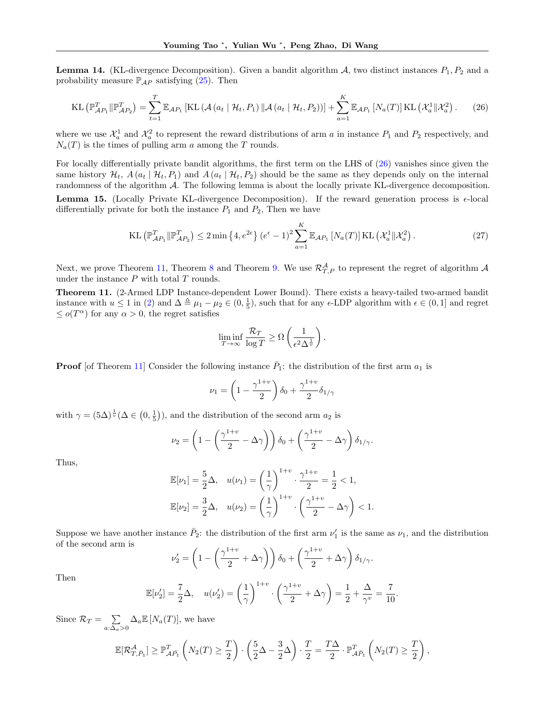**Lemma 14.** (KL-divergence Decomposition). Given a bandit algorithm  $A$ , two distinct instances  $P_1$ ,  $P_2$  and a probability measure  $\mathbb{P}_{AP}$  satisfying [\(25\)](#page-23-0). Then

<span id="page-24-1"></span>
$$
\text{KL}\left(\mathbb{P}_{\mathcal{A}P_1}^T \|\mathbb{P}_{\mathcal{A}P_2}^T\right) = \sum_{t=1}^T \mathbb{E}_{\mathcal{A}P_1} \left[ \text{KL}\left(\mathcal{A}\left(a_t \mid \mathcal{H}_t, P_1\right) \|\mathcal{A}\left(a_t \mid \mathcal{H}_t, P_2\right)\right) \right] + \sum_{a=1}^K \mathbb{E}_{\mathcal{A}P_1} \left[ N_a(T) \right] \text{KL}\left(\mathcal{X}_a^1 \|\mathcal{X}_a^2\right). \tag{26}
$$

where we use  $\mathcal{X}_a^1$  and  $\mathcal{X}_a^2$  to represent the reward distributions of arm a in instance  $P_1$  and  $P_2$  respectively, and  $N_a(T)$  is the times of pulling arm a among the T rounds.

For locally differentially private bandit algorithms, the first term on the LHS of [\(26\)](#page-24-1) vanishes since given the same history  $\mathcal{H}_t$ ,  $A(a_t | \mathcal{H}_t, P_1)$  and  $A(a_t | \mathcal{H}_t, P_2)$  should be the same as they depends only on the internal randomness of the algorithm  $\mathcal{A}$ . The following lemma is about the locally private KL-divergence decomposition.

<span id="page-24-2"></span>**Lemma 15.** (Locally Private KL-divergence Decomposition). If the reward generation process is  $\epsilon$ -local differentially private for both the instance  $P_1$  and  $P_2$ , Then we have

$$
\text{KL}\left(\mathbb{P}_{\mathcal{A}P_1}^T \|\mathbb{P}_{\mathcal{A}P_2}^T\right) \le 2 \min\left\{4, e^{2\epsilon}\right\} \left(e^{\epsilon} - 1\right)^2 \sum_{a=1}^K \mathbb{E}_{\mathcal{A}P_1} \left[N_a(T)\right] \text{KL}\left(\mathcal{X}_a^1 \|\mathcal{X}_a^2\right). \tag{27}
$$

Next, we prove Theorem [11,](#page-24-0) Theorem [8](#page-6-5) and Theorem [9.](#page-7-1) We use  $\mathcal{R}^{\mathcal{A}}_{T,P}$  to represent the regret of algorithm  $\mathcal{A}$ under the instance  $P$  with total  $T$  rounds.

<span id="page-24-0"></span>Theorem 11. (2-Armed LDP Instance-dependent Lower Bound). There exists a heavy-tailed two-armed bandit instance with  $u \leq 1$  in [\(2\)](#page-2-1) and  $\Delta \triangleq \mu_1 - \mu_2 \in (0, \frac{1}{5})$ , such that for any  $\epsilon$ -LDP algorithm with  $\epsilon \in (0, 1]$  and regret  $\leq o(T^{\alpha})$  for any  $\alpha > 0$ , the regret satisfies

$$
\liminf_{T \to \infty} \frac{\mathcal{R}_T}{\log T} \ge \Omega \left( \frac{1}{\epsilon^2 \Delta^{\frac{1}{v}}} \right).
$$

**Proof** [of Theorem [11\]](#page-24-0) Consider the following instance  $\bar{P}_1$ : the distribution of the first arm  $a_1$  is

$$
\nu_1 = \left(1 - \frac{\gamma^{1+v}}{2}\right)\delta_0 + \frac{\gamma^{1+v}}{2}\delta_{1/\gamma}
$$

with  $\gamma = (5\Delta)^{\frac{1}{v}}(\Delta \in (0, \frac{1}{5}))$ , and the distribution of the second arm  $a_2$  is

$$
\nu_2 = \left(1 - \left(\frac{\gamma^{1+v}}{2} - \Delta\gamma\right)\right)\delta_0 + \left(\frac{\gamma^{1+v}}{2} - \Delta\gamma\right)\delta_{1/\gamma}.
$$

Thus,

$$
\mathbb{E}[\nu_1] = \frac{5}{2}\Delta, \quad u(\nu_1) = \left(\frac{1}{\gamma}\right)^{1+v} \cdot \frac{\gamma^{1+v}}{2} = \frac{1}{2} < 1,
$$
\n
$$
\mathbb{E}[\nu_2] = \frac{3}{2}\Delta, \quad u(\nu_2) = \left(\frac{1}{\gamma}\right)^{1+v} \cdot \left(\frac{\gamma^{1+v}}{2} - \Delta\gamma\right) < 1.
$$

Suppose we have another instance  $\bar{P}_2$ : the distribution of the first arm  $\nu'_1$  is the same as  $\nu_1$ , and the distribution of the second arm is

$$
\nu_2' = \left(1 - \left(\frac{\gamma^{1+v}}{2} + \Delta\gamma\right)\right)\delta_0 + \left(\frac{\gamma^{1+v}}{2} + \Delta\gamma\right)\delta_{1/\gamma}.
$$

Then

$$
\mathbb{E}[\nu_2'] = \frac{7}{2}\Delta, \quad u(\nu_2') = \left(\frac{1}{\gamma}\right)^{1+v} \cdot \left(\frac{\gamma^{1+v}}{2} + \Delta \gamma\right) = \frac{1}{2} + \frac{\Delta}{\gamma^v} = \frac{7}{10}.
$$

Since  $\mathcal{R}_T = \sum$  $\sum_{a:\Delta_a>0} \Delta_a \mathbb{E}[N_a(T)],$  we have

$$
\mathbb{E}[\mathcal{R}_{T,\bar{P}_1}^{\mathcal{A}}] \geq \mathbb{P}_{\mathcal{A}\bar{P}_1}^T \left(N_2(T) \geq \frac{T}{2}\right) \cdot \left(\frac{5}{2}\Delta - \frac{3}{2}\Delta\right) \cdot \frac{T}{2} = \frac{T\Delta}{2} \cdot \mathbb{P}_{\mathcal{A}\bar{P}_1}^T \left(N_2(T) \geq \frac{T}{2}\right),
$$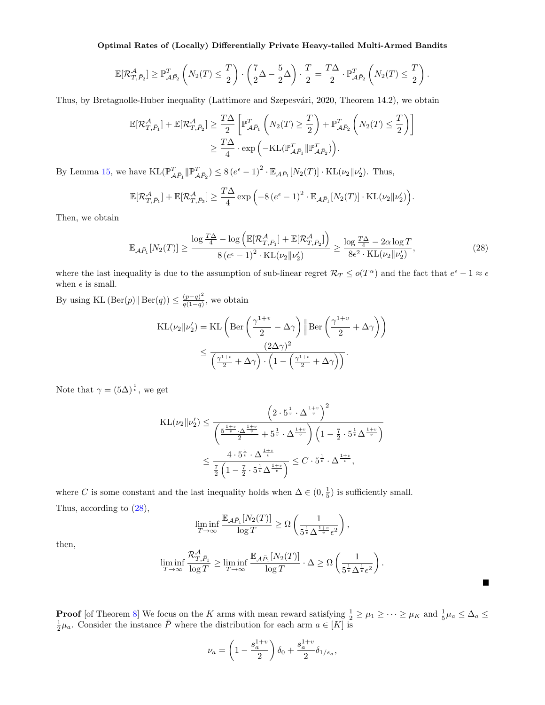$$
\mathbb{E}[\mathcal{R}_{T,\bar{P}_2}^{\mathcal{A}}] \geq \mathbb{P}_{\mathcal{A}\bar{P}_2}^T \left(N_2(T) \leq \frac{T}{2}\right) \cdot \left(\frac{7}{2}\Delta - \frac{5}{2}\Delta\right) \cdot \frac{T}{2} = \frac{T\Delta}{2} \cdot \mathbb{P}_{\mathcal{A}\bar{P}_2}^T \left(N_2(T) \leq \frac{T}{2}\right).
$$

Thus, by Bretagnolle-Huber inequality (Lattimore and Szepesvári, [2020,](#page-10-25) Theorem 14.2), we obtain

$$
\begin{split} \mathbb{E}[\mathcal{R}^{\mathcal{A}}_{T,\bar{P}_1}] + \mathbb{E}[\mathcal{R}^{\mathcal{A}}_{T,\bar{P}_2}] &\geq \frac{T\Delta}{2}\left[\mathbb{P}^T_{\mathcal{A}\bar{P}_1}\left(N_2(T) \geq \frac{T}{2}\right) + \mathbb{P}^T_{\mathcal{A}\bar{P}_2}\left(N_2(T) \leq \frac{T}{2}\right)\right] \\ &\geq \frac{T\Delta}{4}\cdot \exp\left(-\mathrm{KL}(\mathbb{P}^T_{\mathcal{A}\bar{P}_1}\|\mathbb{P}^T_{\mathcal{A}\bar{P}_2})\right). \end{split}
$$

By Lemma [15,](#page-24-2) we have  $\text{KL}(\mathbb{P}^T_{\mathcal{A}\bar{P}_1} \| \mathbb{P}^T_{\mathcal{A}\bar{P}_2}) \le 8(e^{\epsilon} - 1)^2 \cdot \mathbb{E}_{\mathcal{A}\bar{P}_1}[N_2(T)] \cdot \text{KL}(\nu_2 \| \nu_2').$  Thus,

$$
\mathbb{E}[\mathcal{R}_{T,\bar{P}_1}^{\mathcal{A}}] + \mathbb{E}[\mathcal{R}_{T,\bar{P}_2}^{\mathcal{A}}] \ge \frac{T\Delta}{4} \exp\left(-8\left(e^{\epsilon}-1\right)^2 \cdot \mathbb{E}_{\mathcal{A}\bar{P}_1}[N_2(T)] \cdot \mathrm{KL}(\nu_2||\nu_2')\right).
$$

Then, we obtain

<span id="page-25-0"></span>
$$
\mathbb{E}_{\mathcal{A}\bar{P}_1}[N_2(T)] \ge \frac{\log \frac{T\Delta}{4} - \log \left( \mathbb{E}[\mathcal{R}_{T,\bar{P}_1}^{\mathcal{A}}] + \mathbb{E}[\mathcal{R}_{T,\bar{P}_2}^{\mathcal{A}}] \right)}{8\left(e^{\epsilon} - 1\right)^2 \cdot \text{KL}(\nu_2 \| \nu_2') } \ge \frac{\log \frac{T\Delta}{4} - 2\alpha \log T}{8\epsilon^2 \cdot \text{KL}(\nu_2 \| \nu_2')},\tag{28}
$$

where the last inequality is due to the assumption of sub-linear regret  $\mathcal{R}_T \le o(T^{\alpha})$  and the fact that  $e^{\epsilon} - 1 \approx \epsilon$ when  $\epsilon$  is small.

By using KL  $(\text{Ber}(p) \| \text{Ber}(q)) \leq \frac{(p-q)^2}{q(1-q)}$  $\frac{(p-q)^2}{q(1-q)}$ , we obtain

$$
\mathrm{KL}(\nu_2 \| \nu_2') = \mathrm{KL}\left(\mathrm{Ber}\left(\frac{\gamma^{1+v}}{2} - \Delta\gamma\right) \|\mathrm{Ber}\left(\frac{\gamma^{1+v}}{2} + \Delta\gamma\right)\right)
$$

$$
\leq \frac{(2\Delta\gamma)^2}{\left(\frac{\gamma^{1+v}}{2} + \Delta\gamma\right) \cdot \left(1 - \left(\frac{\gamma^{1+v}}{2} + \Delta\gamma\right)\right)}.
$$

Note that  $\gamma = (5\Delta)^{\frac{1}{v}}$ , we get

$$
KL(\nu_2 \|\nu_2') \le \frac{\left(2 \cdot 5^{\frac{1}{v}} \cdot \Delta^{\frac{1+v}{v}}\right)^2}{\left(\frac{5^{\frac{1+v}{v}} \cdot \Delta^{\frac{1+v}{v}}}{2} + 5^{\frac{1}{v}} \cdot \Delta^{\frac{1+v}{v}}\right) \left(1 - \frac{7}{2} \cdot 5^{\frac{1}{v}} \Delta^{\frac{1+v}{v}}\right)}
$$

$$
\le \frac{4 \cdot 5^{\frac{1}{v}} \cdot \Delta^{\frac{1+v}{v}}}{\frac{7}{2} \left(1 - \frac{7}{2} \cdot 5^{\frac{1}{v}} \Delta^{\frac{1+v}{v}}\right)} \le C \cdot 5^{\frac{1}{v}} \cdot \Delta^{\frac{1+v}{v}},
$$

where C is some constant and the last inequality holds when  $\Delta \in (0, \frac{1}{5})$  is sufficiently small. Thus, according to [\(28\)](#page-25-0),

$$
\liminf_{T\to\infty} \frac{\mathbb{E}_{{\mathcal{A}} \bar{P}_1}[N_2(T)] }{\log T}\geq \Omega\left(\frac{1}{5^{\frac{1}{v}}\Delta^{\frac{1+v}{v}}\epsilon^2}\right),
$$

then,

$$
\liminf_{T \to \infty} \frac{\mathcal{R}_{T,\bar{P}_1}^{\mathcal{A}}}{\log T} \ge \liminf_{T \to \infty} \frac{\mathbb{E}_{\mathcal{A}\bar{P}_1}[N_2(T)]}{\log T} \cdot \Delta \ge \Omega\left(\frac{1}{5^{\frac{1}{v}}\Delta^{\frac{1}{v}}\epsilon^2}\right).
$$

 $\blacksquare$ 

**Proof** [of Theorem [8\]](#page-6-5) We focus on the K arms with mean reward satisfying  $\frac{1}{2} \ge \mu_1 \ge \cdots \ge \mu_K$  and  $\frac{1}{5}\mu_a \le \Delta_a \le \frac{1}{2}\mu_a$ . Consider the instance  $\overline{P}$  where the distribution for each arm  $a \in [K]$  is

$$
\nu_a = \left(1 - \frac{s_a^{1+v}}{2}\right)\delta_0 + \frac{s_a^{1+v}}{2}\delta_{1/s_a},
$$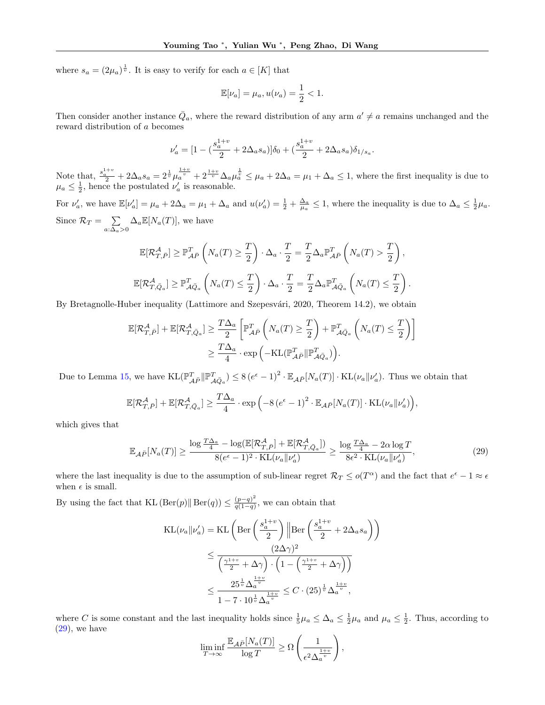where  $s_a = (2\mu_a)^{\frac{1}{v}}$ . It is easy to verify for each  $a \in [K]$  that

$$
\mathbb{E}[\nu_a] = \mu_a, u(\nu_a) = \frac{1}{2} < 1.
$$

Then consider another instance  $\overline{Q}_a$ , where the reward distribution of any arm  $a' \neq a$  remains unchanged and the reward distribution of a becomes

$$
\nu_a' = [1 - (\frac{s_a^{1+v}}{2} + 2\Delta_a s_a)]\delta_0 + (\frac{s_a^{1+v}}{2} + 2\Delta_a s_a)\delta_{1/s_a}
$$

.

Note that,  $\frac{s_a^{1+v}}{2} + 2\Delta_a s_a = 2^{\frac{1}{v}} \mu_a^{\frac{1+v}{v}} + 2^{\frac{1+v}{v}} \Delta_a \mu_a^{\frac{1}{v}} \leq \mu_a + 2\Delta_a = \mu_1 + \Delta_a \leq 1$ , where the first inequality is due to  $\mu_a \leq \frac{1}{2}$ , hence the postulated  $\nu'_a$  is reasonable.

For  $\nu'_a$ , we have  $\mathbb{E}[\nu'_a] = \mu_a + 2\Delta_a = \mu_1 + \Delta_a$  and  $u(\nu'_a) = \frac{1}{2} + \frac{\Delta_a}{\mu_a} \leq 1$ , where the inequality is due to  $\Delta_a \leq \frac{1}{2}\mu_a$ . Since  $\mathcal{R}_T = \sum$  $\sum_{a:\Delta_a>0} \Delta_a \mathbb{E}[N_a(T)],$  we have

$$
\mathbb{E}[\mathcal{R}_{T,\bar{P}}^{\mathcal{A}}] \geq \mathbb{P}_{\mathcal{A}\bar{P}}^{T}\left(N_a(T) \geq \frac{T}{2}\right) \cdot \Delta_a \cdot \frac{T}{2} = \frac{T}{2} \Delta_a \mathbb{P}_{\mathcal{A}\bar{P}}^{T}\left(N_a(T) > \frac{T}{2}\right),
$$
  

$$
\mathbb{E}[\mathcal{R}_{T,\bar{Q}_a}^{\mathcal{A}}] \geq \mathbb{P}_{\mathcal{A}\bar{Q}_a}^{T}\left(N_a(T) \leq \frac{T}{2}\right) \cdot \Delta_a \cdot \frac{T}{2} = \frac{T}{2} \Delta_a \mathbb{P}_{\mathcal{A}\bar{Q}_a}^{T}\left(N_a(T) \leq \frac{T}{2}\right).
$$

By Bretagnolle-Huber inequality (Lattimore and Szepesvári, [2020,](#page-10-25) Theorem 14.2), we obtain

$$
\mathbb{E}[\mathcal{R}_{T,\bar{P}}^{\mathcal{A}}] + \mathbb{E}[\mathcal{R}_{T,\bar{Q}_a}^{\mathcal{A}}] \geq \frac{T\Delta_a}{2} \left[ \mathbb{P}_{\mathcal{A}\bar{P}}^T \left( N_a(T) \geq \frac{T}{2} \right) + \mathbb{P}_{\mathcal{A}\bar{Q}_a}^T \left( N_a(T) \leq \frac{T}{2} \right) \right]
$$
  

$$
\geq \frac{T\Delta_a}{4} \cdot \exp\left( -\mathrm{KL}(\mathbb{P}_{\mathcal{A}\bar{P}}^T || \mathbb{P}_{\mathcal{A}\bar{Q}_a}^T) \right).
$$

Due to Lemma [15,](#page-24-2) we have  $KL(\mathbb{P}_{\mathcal{A}\bar{P}}^T || \mathbb{P}_{\mathcal{A}\bar{Q}_a}^T) \leq 8(e^{\epsilon}-1)^2 \cdot \mathbb{E}_{\mathcal{A}\bar{P}}[N_a(T)] \cdot KL(\nu_a || \nu_a')$ . Thus we obtain that

$$
\mathbb{E}[\mathcal{R}_{T,\bar{P}}^{\mathcal{A}}] + \mathbb{E}[\mathcal{R}_{T,\bar{Q}_a}^{\mathcal{A}}] \ge \frac{T\Delta_a}{4} \cdot \exp\left(-8\left(e^{\epsilon}-1\right)^2 \cdot \mathbb{E}_{\mathcal{A}\bar{P}}[N_a(T)] \cdot \mathrm{KL}(\nu_a || \nu_a')\right),
$$

which gives that

<span id="page-26-0"></span>
$$
\mathbb{E}_{\mathcal{A}\bar{P}}[N_a(T)] \ge \frac{\log \frac{T\Delta_a}{4} - \log(\mathbb{E}[\mathcal{R}_{T,\bar{P}}^{\mathcal{A}}] + \mathbb{E}[\mathcal{R}_{T,\bar{Q}_a}^{\mathcal{A}}])}{8(e^{\epsilon} - 1)^2 \cdot \text{KL}(\nu_a || \nu_a')} \ge \frac{\log \frac{T\Delta_a}{4} - 2\alpha \log T}{8\epsilon^2 \cdot \text{KL}(\nu_a || \nu_a')},\tag{29}
$$

where the last inequality is due to the assumption of sub-linear regret  $\mathcal{R}_T \le o(T^{\alpha})$  and the fact that  $e^{\epsilon} - 1 \approx \epsilon$ when  $\epsilon$  is small.

By using the fact that KL  $(\text{Ber}(p) \| \text{Ber}(q)) \leq \frac{(p-q)^2}{q(1-q)}$  $\frac{(p-q)}{q(1-q)}$ , we can obtain that

$$
\begin{split} \text{KL}(\nu_a || \nu_a') &= \text{KL}\left(\text{Ber}\left(\frac{s_a^{1+v}}{2}\right) \left\| \text{Ber}\left(\frac{s_a^{1+v}}{2} + 2\Delta_a s_a\right)\right)\right) \\ &\leq \frac{(2\Delta\gamma)^2}{\left(\frac{\gamma^{1+v}}{2} + \Delta\gamma\right) \cdot \left(1 - \left(\frac{\gamma^{1+v}}{2} + \Delta\gamma\right)\right)} \\ &\leq \frac{25^{\frac{1}{v}} \Delta_a^{\frac{1+v}{v}}}{1 - 7 \cdot 10^{\frac{1}{v}} \Delta_a^{\frac{1+v}{v}}} \leq C \cdot (25)^{\frac{1}{v}} \Delta_a^{\frac{1+v}{v}}, \end{split}
$$

where C is some constant and the last inequality holds since  $\frac{1}{5}\mu_a \leq \Delta_a \leq \frac{1}{2}\mu_a$  and  $\mu_a \leq \frac{1}{2}$ . Thus, according to  $(29)$ , we have

$$
\liminf_{T \to \infty} \frac{\mathbb{E}_{\mathcal{A}\bar{P}}[N_a(T)]}{\log T} \ge \Omega \left( \frac{1}{\epsilon^2 \Delta_a^{\frac{1+v}{v}}} \right),\,
$$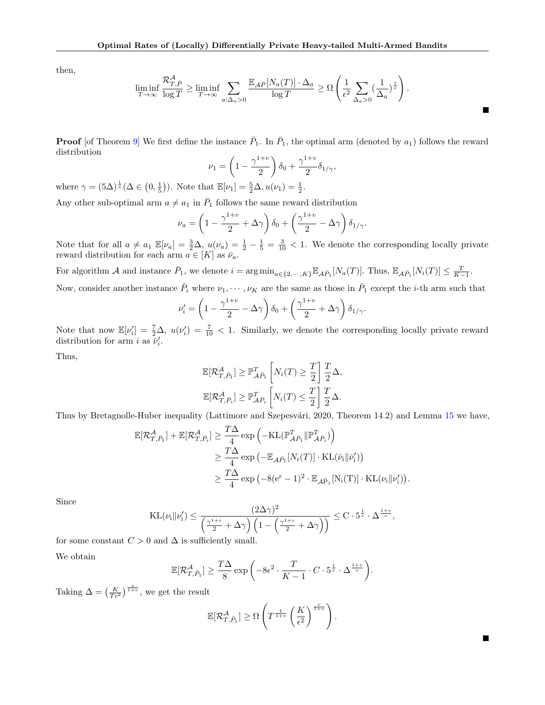then,

$$
\liminf_{T \to \infty} \frac{\mathcal{R}_{T,\bar{P}}^{\mathcal{A}}}{\log T} \ge \liminf_{T \to \infty} \sum_{a:\Delta_a > 0} \frac{\mathbb{E}_{\mathcal{A}\bar{P}}[N_a(T)] \cdot \Delta_a}{\log T} \ge \Omega \left( \frac{1}{\epsilon^2} \sum_{\Delta_a > 0} \left( \frac{1}{\Delta_a} \right)^{\frac{1}{v}} \right).
$$

**Proof** [of Theorem [9\]](#page-7-1) We first define the instance  $\bar{P}_1$ . In  $\bar{P}_1$ , the optimal arm (denoted by  $a_1$ ) follows the reward distribution

$$
\nu_1 = \left(1 - \frac{\gamma^{1+v}}{2}\right)\delta_0 + \frac{\gamma^{1+v}}{2}\delta_{1/\gamma},
$$

where  $\gamma = (5\Delta)^{\frac{1}{\nu}}(\Delta \in (0, \frac{1}{5}))$ . Note that  $\mathbb{E}[\nu_1] = \frac{5}{2}\Delta, u(\nu_1) = \frac{1}{2}$ .

Any other sub-optimal arm  $a \neq a_1$  in  $\overline{P}_1$  follows the same reward distribution

$$
\nu_a = \left(1 - \frac{\gamma^{1+v}}{2} + \Delta\gamma\right)\delta_0 + \left(\frac{\gamma^{1+v}}{2} - \Delta\gamma\right)\delta_{1/\gamma}.
$$

Note that for all  $a \neq a_1 \mathbb{E}[\nu_a] = \frac{3}{2}\Delta$ ,  $u(\nu_a) = \frac{1}{2} - \frac{1}{5} = \frac{3}{10} < 1$ . We denote the corresponding locally private reward distribution for each arm  $a \in [K]$  as  $\bar{\nu}_a$ .

For algorithm A and instance  $\bar{P}_1$ , we denote  $i = \arg \min_{a \in \{2, \cdots, K\}} \mathbb{E}_{\mathcal{A}\bar{P}_1}[N_a(T)]$ . Thus,  $\mathbb{E}_{\mathcal{A}\bar{P}_1}[N_i(T)] \leq \frac{T}{K-1}$ .

Now, consider another instance  $\bar{P}_i$  where  $\nu_1, \cdots, \nu_K$  are the same as those in  $\bar{P}_1$  except the *i*-th arm such that

$$
\nu_i' = \left(1 - \frac{\gamma^{1+v}}{2} - \Delta\gamma\right)\delta_0 + \left(\frac{\gamma^{1+v}}{2} + \Delta\gamma\right)\delta_{1/\gamma}.
$$

Note that now  $\mathbb{E}[\nu_i'] = \frac{7}{2}\Delta$ ,  $u(\nu_i') = \frac{7}{10} < 1$ . Similarly, we denote the corresponding locally private reward distribution for arm *i* as  $\overline{\nu}'_i$ .

Thus,

$$
\mathbb{E}[\mathcal{R}_{T,\bar{P}_1}^{\mathcal{A}}] \geq \mathbb{P}_{\mathcal{A}\bar{P}_1}^T \left[ N_i(T) \geq \frac{T}{2} \right] \frac{T}{2} \Delta,
$$
  

$$
\mathbb{E}[\mathcal{R}_{T,\bar{P}_i}^{\mathcal{A}}] \geq \mathbb{P}_{\mathcal{A}\bar{P}_i}^T \left[ N_i(T) \leq \frac{T}{2} \right] \frac{T}{2} \Delta.
$$

Thus by Bretagnolle-Huber inequality (Lattimore and Szepesvári, [2020,](#page-10-25) Theorem 14.2) and Lemma [15](#page-24-2) we have,

$$
\mathbb{E}[\mathcal{R}_{T,\bar{P}_1}^{\mathcal{A}}] + \mathbb{E}[\mathcal{R}_{T,\bar{P}_i}^{\mathcal{A}}] \geq \frac{T\Delta}{4} \exp\left(-KL(\mathbb{P}_{\mathcal{A}\bar{P}_1}^T \| \mathbb{P}_{\mathcal{A}\bar{P}_i}^T)\right)
$$
  
\n
$$
\geq \frac{T\Delta}{4} \exp\left(-\mathbb{E}_{\mathcal{A}\bar{P}_1} [N_i(T)] \cdot KL(\bar{\nu}_i \| \bar{\nu}_i')\right)
$$
  
\n
$$
\geq \frac{T\Delta}{4} \exp\left(-8(e^{\epsilon} - 1)^2 \cdot \mathbb{E}_{\mathcal{A}\bar{P}_1} [N_i(T)] \cdot KL(\nu_i \| \nu_i')\right).
$$

Since

$$
\mathrm{KL}(\nu_i \| \nu_i') \leq \frac{(2\Delta \gamma)^2}{\left(\frac{\gamma^{1+v}}{2} + \Delta \gamma\right) \left(1 - \left(\frac{\gamma^{1+v}}{2} + \Delta \gamma\right)\right)} \leq C \cdot 5^{\frac{1}{v}} \cdot \Delta^{\frac{1+v}{v}},
$$

for some constant  $C > 0$  and  $\Delta$  is sufficiently small.

We obtain

$$
\mathbb{E}[\mathcal{R}_{T,\bar{P}_1}^{\mathcal{A}}] \ge \frac{T\Delta}{8} \exp\left(-8\epsilon^2 \cdot \frac{T}{K-1} \cdot C \cdot 5^{\frac{1}{v}} \cdot \Delta^{\frac{1+v}{v}}\right).
$$

Taking  $\Delta = \left(\frac{K}{T\epsilon^2}\right)^{\frac{v}{1+v}},$  we get the result

$$
\mathbb{E}[\mathcal{R}_{T,\bar{P}_1}^{\mathcal{A}}] \geq \Omega\left(T^{\frac{1}{1+v}}\left(\frac{K}{\epsilon^2}\right)^{\frac{v}{1+v}}\right).
$$

 $\blacksquare$